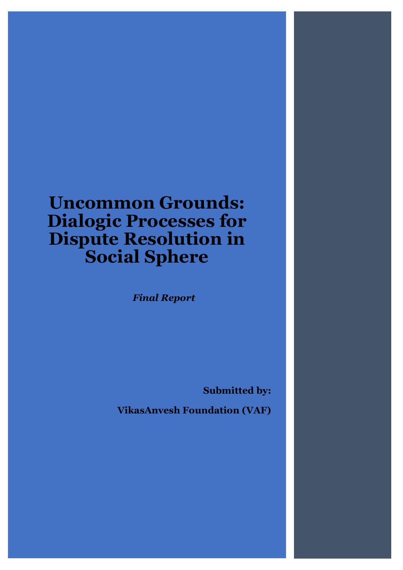# **Uncommon Grounds: Dialogic Processes for Dispute Resolution in Social Sphere**

*Final Report*

**Submitted by:** 

**VikasAnvesh Foundation (VAF)**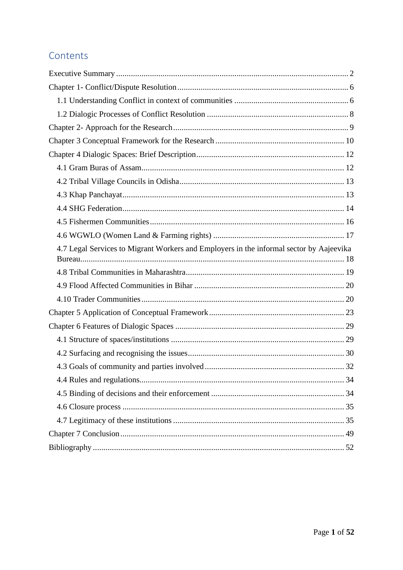# Contents

| 4.7 Legal Services to Migrant Workers and Employers in the informal sector by Aajeevika |
|-----------------------------------------------------------------------------------------|
|                                                                                         |
|                                                                                         |
|                                                                                         |
|                                                                                         |
|                                                                                         |
|                                                                                         |
|                                                                                         |
|                                                                                         |
|                                                                                         |
|                                                                                         |
|                                                                                         |
|                                                                                         |
|                                                                                         |
|                                                                                         |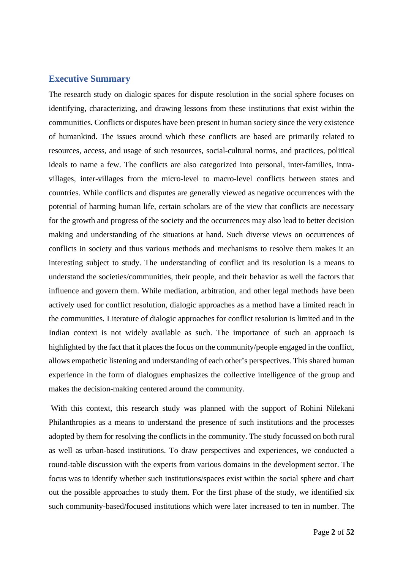#### <span id="page-2-0"></span>**Executive Summary**

The research study on dialogic spaces for dispute resolution in the social sphere focuses on identifying, characterizing, and drawing lessons from these institutions that exist within the communities. Conflicts or disputes have been present in human society since the very existence of humankind. The issues around which these conflicts are based are primarily related to resources, access, and usage of such resources, social-cultural norms, and practices, political ideals to name a few. The conflicts are also categorized into personal, inter-families, intravillages, inter-villages from the micro-level to macro-level conflicts between states and countries. While conflicts and disputes are generally viewed as negative occurrences with the potential of harming human life, certain scholars are of the view that conflicts are necessary for the growth and progress of the society and the occurrences may also lead to better decision making and understanding of the situations at hand. Such diverse views on occurrences of conflicts in society and thus various methods and mechanisms to resolve them makes it an interesting subject to study. The understanding of conflict and its resolution is a means to understand the societies/communities, their people, and their behavior as well the factors that influence and govern them. While mediation, arbitration, and other legal methods have been actively used for conflict resolution, dialogic approaches as a method have a limited reach in the communities. Literature of dialogic approaches for conflict resolution is limited and in the Indian context is not widely available as such. The importance of such an approach is highlighted by the fact that it places the focus on the community/people engaged in the conflict, allows empathetic listening and understanding of each other's perspectives. This shared human experience in the form of dialogues emphasizes the collective intelligence of the group and makes the decision-making centered around the community.

With this context, this research study was planned with the support of Rohini Nilekani Philanthropies as a means to understand the presence of such institutions and the processes adopted by them for resolving the conflicts in the community. The study focussed on both rural as well as urban-based institutions. To draw perspectives and experiences, we conducted a round-table discussion with the experts from various domains in the development sector. The focus was to identify whether such institutions/spaces exist within the social sphere and chart out the possible approaches to study them. For the first phase of the study, we identified six such community-based/focused institutions which were later increased to ten in number. The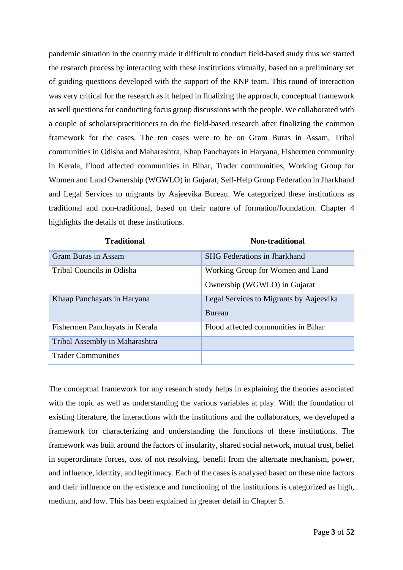pandemic situation in the country made it difficult to conduct field-based study thus we started the research process by interacting with these institutions virtually, based on a preliminary set of guiding questions developed with the support of the RNP team. This round of interaction was very critical for the research as it helped in finalizing the approach, conceptual framework as well questions for conducting focus group discussions with the people. We collaborated with a couple of scholars/practitioners to do the field-based research after finalizing the common framework for the cases. The ten cases were to be on Gram Buras in Assam, Tribal communities in Odisha and Maharashtra, Khap Panchayats in Haryana, Fishermen community in Kerala, Flood affected communities in Bihar, Trader communities, Working Group for Women and Land Ownership (WGWLO) in Gujarat, Self-Help Group Federation in Jharkhand and Legal Services to migrants by Aajeevika Bureau. We categorized these institutions as traditional and non-traditional, based on their nature of formation/foundation. Chapter 4 highlights the details of these institutions.

| <b>Traditional</b>             | <b>Non-traditional</b>                  |
|--------------------------------|-----------------------------------------|
| <b>Gram Buras in Assam</b>     | <b>SHG</b> Federations in Jharkhand     |
| Tribal Councils in Odisha      | Working Group for Women and Land        |
|                                | Ownership (WGWLO) in Gujarat            |
| Khaap Panchayats in Haryana    | Legal Services to Migrants by Aajeevika |
|                                | <b>Bureau</b>                           |
| Fishermen Panchayats in Kerala | Flood affected communities in Bihar     |
| Tribal Assembly in Maharashtra |                                         |
| <b>Trader Communities</b>      |                                         |

The conceptual framework for any research study helps in explaining the theories associated with the topic as well as understanding the various variables at play. With the foundation of existing literature, the interactions with the institutions and the collaborators, we developed a framework for characterizing and understanding the functions of these institutions. The framework was built around the factors of insularity, shared social network, mutual trust, belief in superordinate forces, cost of not resolving, benefit from the alternate mechanism, power, and influence, identity, and legitimacy. Each of the cases is analysed based on these nine factors and their influence on the existence and functioning of the institutions is categorized as high, medium, and low. This has been explained in greater detail in Chapter 5.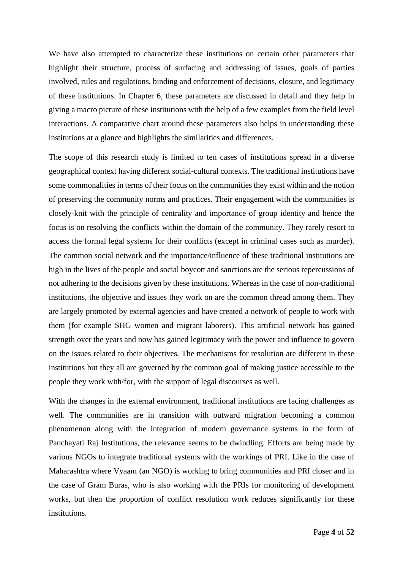We have also attempted to characterize these institutions on certain other parameters that highlight their structure, process of surfacing and addressing of issues, goals of parties involved, rules and regulations, binding and enforcement of decisions, closure, and legitimacy of these institutions. In Chapter 6, these parameters are discussed in detail and they help in giving a macro picture of these institutions with the help of a few examples from the field level interactions. A comparative chart around these parameters also helps in understanding these institutions at a glance and highlights the similarities and differences.

The scope of this research study is limited to ten cases of institutions spread in a diverse geographical context having different social-cultural contexts. The traditional institutions have some commonalities in terms of their focus on the communities they exist within and the notion of preserving the community norms and practices. Their engagement with the communities is closely-knit with the principle of centrality and importance of group identity and hence the focus is on resolving the conflicts within the domain of the community. They rarely resort to access the formal legal systems for their conflicts (except in criminal cases such as murder). The common social network and the importance/influence of these traditional institutions are high in the lives of the people and social boycott and sanctions are the serious repercussions of not adhering to the decisions given by these institutions. Whereas in the case of non-traditional institutions, the objective and issues they work on are the common thread among them. They are largely promoted by external agencies and have created a network of people to work with them (for example SHG women and migrant laborers). This artificial network has gained strength over the years and now has gained legitimacy with the power and influence to govern on the issues related to their objectives. The mechanisms for resolution are different in these institutions but they all are governed by the common goal of making justice accessible to the people they work with/for, with the support of legal discourses as well.

With the changes in the external environment, traditional institutions are facing challenges as well. The communities are in transition with outward migration becoming a common phenomenon along with the integration of modern governance systems in the form of Panchayati Raj Institutions, the relevance seems to be dwindling. Efforts are being made by various NGOs to integrate traditional systems with the workings of PRI. Like in the case of Maharashtra where Vyaam (an NGO) is working to bring communities and PRI closer and in the case of Gram Buras, who is also working with the PRIs for monitoring of development works, but then the proportion of conflict resolution work reduces significantly for these institutions.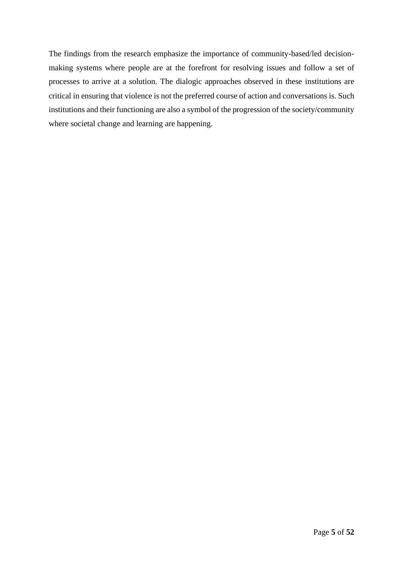The findings from the research emphasize the importance of community-based/led decisionmaking systems where people are at the forefront for resolving issues and follow a set of processes to arrive at a solution. The dialogic approaches observed in these institutions are critical in ensuring that violence is not the preferred course of action and conversations is. Such institutions and their functioning are also a symbol of the progression of the society/community where societal change and learning are happening.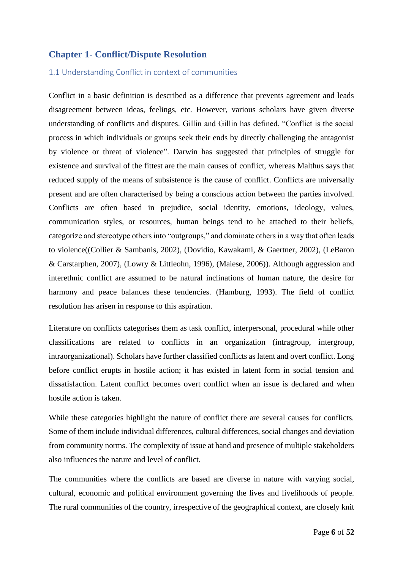## <span id="page-6-0"></span>**Chapter 1- Conflict/Dispute Resolution**

#### <span id="page-6-1"></span>1.1 Understanding Conflict in context of communities

Conflict in a basic definition is described as a difference that prevents agreement and leads disagreement between ideas, feelings, etc. However, various scholars have given diverse understanding of conflicts and disputes. Gillin and Gillin has defined, "Conflict is the social process in which individuals or groups seek their ends by directly challenging the antagonist by violence or threat of violence". Darwin has suggested that principles of struggle for existence and survival of the fittest are the main causes of conflict, whereas Malthus says that reduced supply of the means of subsistence is the cause of conflict. Conflicts are universally present and are often characterised by being a conscious action between the parties involved. Conflicts are often based in prejudice, social identity, emotions, ideology, values, communication styles, or resources, human beings tend to be attached to their beliefs, categorize and stereotype others into "outgroups," and dominate others in a way that often leads to violence((Collier & Sambanis, 2002), (Dovidio, Kawakami, & Gaertner, 2002), (LeBaron & Carstarphen, 2007), (Lowry & Littleohn, 1996), (Maiese, 2006)). Although aggression and interethnic conflict are assumed to be natural inclinations of human nature, the desire for harmony and peace balances these tendencies. (Hamburg, 1993). The field of conflict resolution has arisen in response to this aspiration.

Literature on conflicts categorises them as task conflict, interpersonal, procedural while other classifications are related to conflicts in an organization (intragroup, intergroup, intraorganizational). Scholars have further classified conflicts as latent and overt conflict. Long before conflict erupts in hostile action; it has existed in latent form in social tension and dissatisfaction. Latent conflict becomes overt conflict when an issue is declared and when hostile action is taken.

While these categories highlight the nature of conflict there are several causes for conflicts. Some of them include individual differences, cultural differences, social changes and deviation from community norms. The complexity of issue at hand and presence of multiple stakeholders also influences the nature and level of conflict.

The communities where the conflicts are based are diverse in nature with varying social, cultural, economic and political environment governing the lives and livelihoods of people. The rural communities of the country, irrespective of the geographical context, are closely knit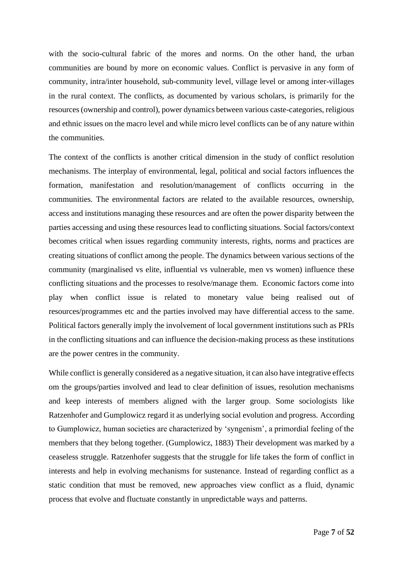with the socio-cultural fabric of the mores and norms. On the other hand, the urban communities are bound by more on economic values. Conflict is pervasive in any form of community, intra/inter household, sub-community level, village level or among inter-villages in the rural context. The conflicts, as documented by various scholars, is primarily for the resources (ownership and control), power dynamics between various caste-categories, religious and ethnic issues on the macro level and while micro level conflicts can be of any nature within the communities.

The context of the conflicts is another critical dimension in the study of conflict resolution mechanisms. The interplay of environmental, legal, political and social factors influences the formation, manifestation and resolution/management of conflicts occurring in the communities. The environmental factors are related to the available resources, ownership, access and institutions managing these resources and are often the power disparity between the parties accessing and using these resources lead to conflicting situations. Social factors/context becomes critical when issues regarding community interests, rights, norms and practices are creating situations of conflict among the people. The dynamics between various sections of the community (marginalised vs elite, influential vs vulnerable, men vs women) influence these conflicting situations and the processes to resolve/manage them. Economic factors come into play when conflict issue is related to monetary value being realised out of resources/programmes etc and the parties involved may have differential access to the same. Political factors generally imply the involvement of local government institutions such as PRIs in the conflicting situations and can influence the decision-making process as these institutions are the power centres in the community.

While conflict is generally considered as a negative situation, it can also have integrative effects om the groups/parties involved and lead to clear definition of issues, resolution mechanisms and keep interests of members aligned with the larger group. Some sociologists like Ratzenhofer and Gumplowicz regard it as underlying social evolution and progress. According to Gumplowicz, human societies are characterized by 'syngenism', a primordial feeling of the members that they belong together. (Gumplowicz, 1883) Their development was marked by a ceaseless struggle. Ratzenhofer suggests that the struggle for life takes the form of conflict in interests and help in evolving mechanisms for sustenance. Instead of regarding conflict as a static condition that must be removed, new approaches view conflict as a fluid, dynamic process that evolve and fluctuate constantly in unpredictable ways and patterns.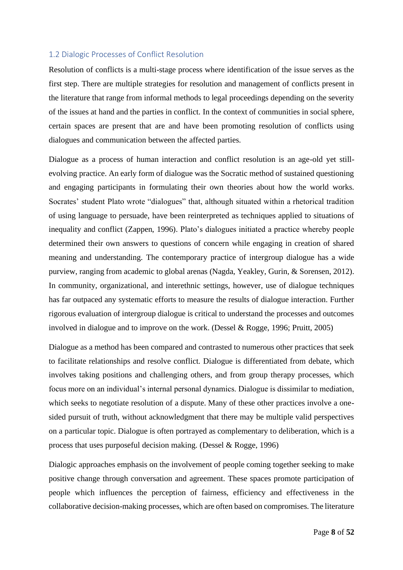#### <span id="page-8-0"></span>1.2 Dialogic Processes of Conflict Resolution

Resolution of conflicts is a multi-stage process where identification of the issue serves as the first step. There are multiple strategies for resolution and management of conflicts present in the literature that range from informal methods to legal proceedings depending on the severity of the issues at hand and the parties in conflict. In the context of communities in social sphere, certain spaces are present that are and have been promoting resolution of conflicts using dialogues and communication between the affected parties.

Dialogue as a process of human interaction and conflict resolution is an age-old yet stillevolving practice. An early form of dialogue was the Socratic method of sustained questioning and engaging participants in formulating their own theories about how the world works. Socrates' student Plato wrote "dialogues" that, although situated within a rhetorical tradition of using language to persuade, have been reinterpreted as techniques applied to situations of inequality and conflict (Zappen, 1996). Plato's dialogues initiated a practice whereby people determined their own answers to questions of concern while engaging in creation of shared meaning and understanding. The contemporary practice of intergroup dialogue has a wide purview, ranging from academic to global arenas (Nagda, Yeakley, Gurin, & Sorensen, 2012). In community, organizational, and interethnic settings, however, use of dialogue techniques has far outpaced any systematic efforts to measure the results of dialogue interaction. Further rigorous evaluation of intergroup dialogue is critical to understand the processes and outcomes involved in dialogue and to improve on the work. (Dessel & Rogge, 1996; Pruitt, 2005)

Dialogue as a method has been compared and contrasted to numerous other practices that seek to facilitate relationships and resolve conflict. Dialogue is differentiated from debate, which involves taking positions and challenging others, and from group therapy processes, which focus more on an individual's internal personal dynamics. Dialogue is dissimilar to mediation, which seeks to negotiate resolution of a dispute. Many of these other practices involve a onesided pursuit of truth, without acknowledgment that there may be multiple valid perspectives on a particular topic. Dialogue is often portrayed as complementary to deliberation, which is a process that uses purposeful decision making. (Dessel & Rogge, 1996)

Dialogic approaches emphasis on the involvement of people coming together seeking to make positive change through conversation and agreement. These spaces promote participation of people which influences the perception of fairness, efficiency and effectiveness in the collaborative decision-making processes, which are often based on compromises. The literature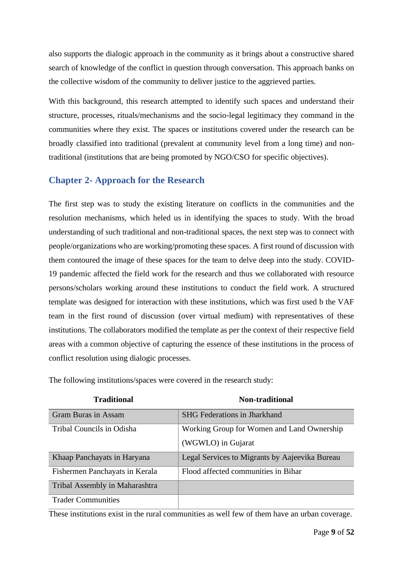also supports the dialogic approach in the community as it brings about a constructive shared search of knowledge of the conflict in question through conversation. This approach banks on the collective wisdom of the community to deliver justice to the aggrieved parties.

With this background, this research attempted to identify such spaces and understand their structure, processes, rituals/mechanisms and the socio-legal legitimacy they command in the communities where they exist. The spaces or institutions covered under the research can be broadly classified into traditional (prevalent at community level from a long time) and nontraditional (institutions that are being promoted by NGO/CSO for specific objectives).

# <span id="page-9-0"></span>**Chapter 2- Approach for the Research**

The first step was to study the existing literature on conflicts in the communities and the resolution mechanisms, which heled us in identifying the spaces to study. With the broad understanding of such traditional and non-traditional spaces, the next step was to connect with people/organizations who are working/promoting these spaces. A first round of discussion with them contoured the image of these spaces for the team to delve deep into the study. COVID-19 pandemic affected the field work for the research and thus we collaborated with resource persons/scholars working around these institutions to conduct the field work. A structured template was designed for interaction with these institutions, which was first used b the VAF team in the first round of discussion (over virtual medium) with representatives of these institutions. The collaborators modified the template as per the context of their respective field areas with a common objective of capturing the essence of these institutions in the process of conflict resolution using dialogic processes.

| <b>Traditional</b>             | <b>Non-traditional</b>                                           |
|--------------------------------|------------------------------------------------------------------|
| <b>Gram Buras in Assam</b>     | <b>SHG</b> Federations in Jharkhand                              |
| Tribal Councils in Odisha      | Working Group for Women and Land Ownership<br>(WGWLO) in Gujarat |
| Khaap Panchayats in Haryana    | Legal Services to Migrants by Aajeevika Bureau                   |
| Fishermen Panchayats in Kerala | Flood affected communities in Bihar                              |
| Tribal Assembly in Maharashtra |                                                                  |
| <b>Trader Communities</b>      |                                                                  |

The following institutions/spaces were covered in the research study:

These institutions exist in the rural communities as well few of them have an urban coverage.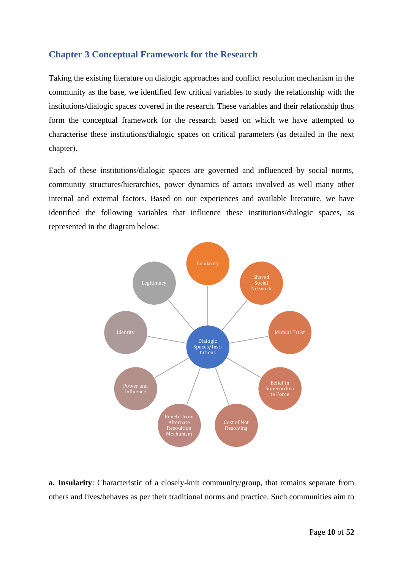# <span id="page-10-0"></span>**Chapter 3 Conceptual Framework for the Research**

Taking the existing literature on dialogic approaches and conflict resolution mechanism in the community as the base, we identified few critical variables to study the relationship with the institutions/dialogic spaces covered in the research. These variables and their relationship thus form the conceptual framework for the research based on which we have attempted to characterise these institutions/dialogic spaces on critical parameters (as detailed in the next chapter).

Each of these institutions/dialogic spaces are governed and influenced by social norms, community structures/hierarchies, power dynamics of actors involved as well many other internal and external factors. Based on our experiences and available literature, we have identified the following variables that influence these institutions/dialogic spaces, as represented in the diagram below:



**a. Insularity**: Characteristic of a closely-knit community/group, that remains separate from others and lives/behaves as per their traditional norms and practice. Such communities aim to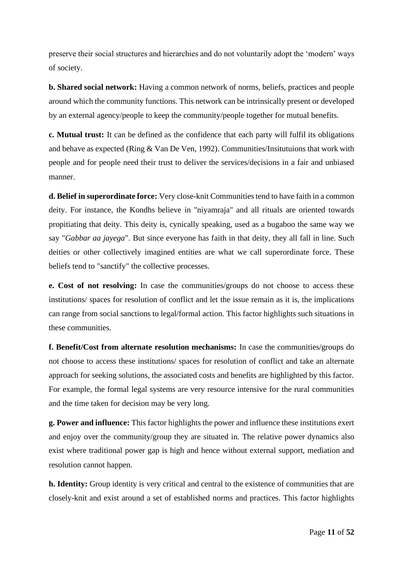preserve their social structures and hierarchies and do not voluntarily adopt the 'modern' ways of society.

**b. Shared social network:** Having a common network of norms, beliefs, practices and people around which the community functions. This network can be intrinsically present or developed by an external agency/people to keep the community/people together for mutual benefits.

**c. Mutual trust:** It can be defined as the confidence that each party will fulfil its obligations and behave as expected (Ring & Van De Ven, 1992). Communities/Insitutuions that work with people and for people need their trust to deliver the services/decisions in a fair and unbiased manner.

**d. Belief in superordinate force:** Very close-knit Communities tend to have faith in a common deity. For instance, the Kondhs believe in "niyamraja" and all rituals are oriented towards propitiating that deity. This deity is, cynically speaking, used as a bugaboo the same way we say "*Gabbar aa jayega*". But since everyone has faith in that deity, they all fall in line. Such deities or other collectively imagined entities are what we call superordinate force. These beliefs tend to "sanctify" the collective processes.

**e. Cost of not resolving:** In case the communities/groups do not choose to access these institutions/ spaces for resolution of conflict and let the issue remain as it is, the implications can range from social sanctions to legal/formal action. This factor highlights such situations in these communities.

**f. Benefit/Cost from alternate resolution mechanisms:** In case the communities/groups do not choose to access these institutions/ spaces for resolution of conflict and take an alternate approach for seeking solutions, the associated costs and benefits are highlighted by this factor. For example, the formal legal systems are very resource intensive for the rural communities and the time taken for decision may be very long.

**g. Power and influence:** This factor highlights the power and influence these institutions exert and enjoy over the community/group they are situated in. The relative power dynamics also exist where traditional power gap is high and hence without external support, mediation and resolution cannot happen.

**h. Identity:** Group identity is very critical and central to the existence of communities that are closely-knit and exist around a set of established norms and practices. This factor highlights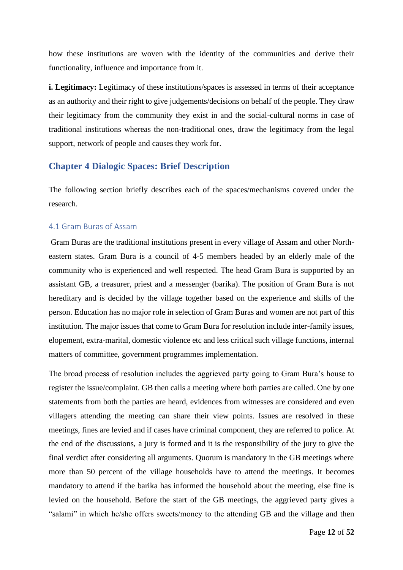how these institutions are woven with the identity of the communities and derive their functionality, influence and importance from it.

**i. Legitimacy:** Legitimacy of these institutions/spaces is assessed in terms of their acceptance as an authority and their right to give judgements/decisions on behalf of the people. They draw their legitimacy from the community they exist in and the social-cultural norms in case of traditional institutions whereas the non-traditional ones, draw the legitimacy from the legal support, network of people and causes they work for.

#### <span id="page-12-0"></span>**Chapter 4 Dialogic Spaces: Brief Description**

The following section briefly describes each of the spaces/mechanisms covered under the research.

#### <span id="page-12-1"></span>4.1 Gram Buras of Assam

Gram Buras are the traditional institutions present in every village of Assam and other Northeastern states. Gram Bura is a council of 4-5 members headed by an elderly male of the community who is experienced and well respected. The head Gram Bura is supported by an assistant GB, a treasurer, priest and a messenger (barika). The position of Gram Bura is not hereditary and is decided by the village together based on the experience and skills of the person. Education has no major role in selection of Gram Buras and women are not part of this institution. The major issues that come to Gram Bura for resolution include inter-family issues, elopement, extra-marital, domestic violence etc and less critical such village functions, internal matters of committee, government programmes implementation.

The broad process of resolution includes the aggrieved party going to Gram Bura's house to register the issue/complaint. GB then calls a meeting where both parties are called. One by one statements from both the parties are heard, evidences from witnesses are considered and even villagers attending the meeting can share their view points. Issues are resolved in these meetings, fines are levied and if cases have criminal component, they are referred to police. At the end of the discussions, a jury is formed and it is the responsibility of the jury to give the final verdict after considering all arguments. Quorum is mandatory in the GB meetings where more than 50 percent of the village households have to attend the meetings. It becomes mandatory to attend if the barika has informed the household about the meeting, else fine is levied on the household. Before the start of the GB meetings, the aggrieved party gives a "salami" in which he/she offers sweets/money to the attending GB and the village and then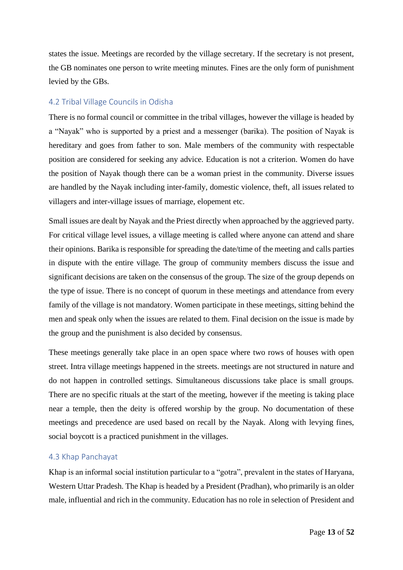states the issue. Meetings are recorded by the village secretary. If the secretary is not present, the GB nominates one person to write meeting minutes. Fines are the only form of punishment levied by the GBs.

#### <span id="page-13-0"></span>4.2 Tribal Village Councils in Odisha

There is no formal council or committee in the tribal villages, however the village is headed by a "Nayak" who is supported by a priest and a messenger (barika). The position of Nayak is hereditary and goes from father to son. Male members of the community with respectable position are considered for seeking any advice. Education is not a criterion. Women do have the position of Nayak though there can be a woman priest in the community. Diverse issues are handled by the Nayak including inter-family, domestic violence, theft, all issues related to villagers and inter-village issues of marriage, elopement etc.

Small issues are dealt by Nayak and the Priest directly when approached by the aggrieved party. For critical village level issues, a village meeting is called where anyone can attend and share their opinions. Barika is responsible for spreading the date/time of the meeting and calls parties in dispute with the entire village. The group of community members discuss the issue and significant decisions are taken on the consensus of the group. The size of the group depends on the type of issue. There is no concept of quorum in these meetings and attendance from every family of the village is not mandatory. Women participate in these meetings, sitting behind the men and speak only when the issues are related to them. Final decision on the issue is made by the group and the punishment is also decided by consensus.

These meetings generally take place in an open space where two rows of houses with open street. Intra village meetings happened in the streets. meetings are not structured in nature and do not happen in controlled settings. Simultaneous discussions take place is small groups. There are no specific rituals at the start of the meeting, however if the meeting is taking place near a temple, then the deity is offered worship by the group. No documentation of these meetings and precedence are used based on recall by the Nayak. Along with levying fines, social boycott is a practiced punishment in the villages.

#### <span id="page-13-1"></span>4.3 Khap Panchayat

Khap is an informal social institution particular to a "gotra", prevalent in the states of Haryana, Western Uttar Pradesh. The Khap is headed by a President (Pradhan), who primarily is an older male, influential and rich in the community. Education has no role in selection of President and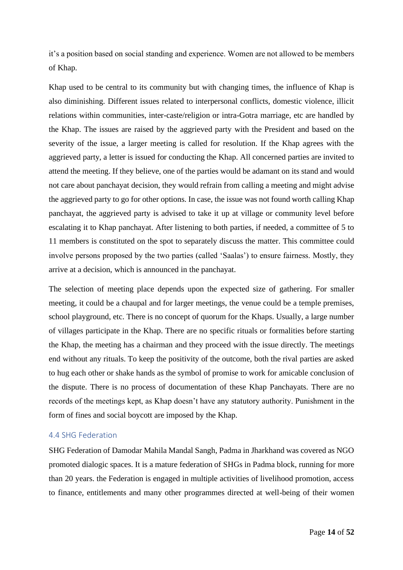it's a position based on social standing and experience. Women are not allowed to be members of Khap.

Khap used to be central to its community but with changing times, the influence of Khap is also diminishing. Different issues related to interpersonal conflicts, domestic violence, illicit relations within communities, inter-caste/religion or intra-Gotra marriage, etc are handled by the Khap. The issues are raised by the aggrieved party with the President and based on the severity of the issue, a larger meeting is called for resolution. If the Khap agrees with the aggrieved party, a letter is issued for conducting the Khap. All concerned parties are invited to attend the meeting. If they believe, one of the parties would be adamant on its stand and would not care about panchayat decision, they would refrain from calling a meeting and might advise the aggrieved party to go for other options. In case, the issue was not found worth calling Khap panchayat, the aggrieved party is advised to take it up at village or community level before escalating it to Khap panchayat. After listening to both parties, if needed, a committee of 5 to 11 members is constituted on the spot to separately discuss the matter. This committee could involve persons proposed by the two parties (called 'Saalas') to ensure fairness. Mostly, they arrive at a decision, which is announced in the panchayat.

The selection of meeting place depends upon the expected size of gathering. For smaller meeting, it could be a chaupal and for larger meetings, the venue could be a temple premises, school playground, etc. There is no concept of quorum for the Khaps. Usually, a large number of villages participate in the Khap. There are no specific rituals or formalities before starting the Khap, the meeting has a chairman and they proceed with the issue directly. The meetings end without any rituals. To keep the positivity of the outcome, both the rival parties are asked to hug each other or shake hands as the symbol of promise to work for amicable conclusion of the dispute. There is no process of documentation of these Khap Panchayats. There are no records of the meetings kept, as Khap doesn't have any statutory authority. Punishment in the form of fines and social boycott are imposed by the Khap.

#### <span id="page-14-0"></span>4.4 SHG Federation

SHG Federation of Damodar Mahila Mandal Sangh, Padma in Jharkhand was covered as NGO promoted dialogic spaces. It is a mature federation of SHGs in Padma block, running for more than 20 years. the Federation is engaged in multiple activities of livelihood promotion, access to finance, entitlements and many other programmes directed at well-being of their women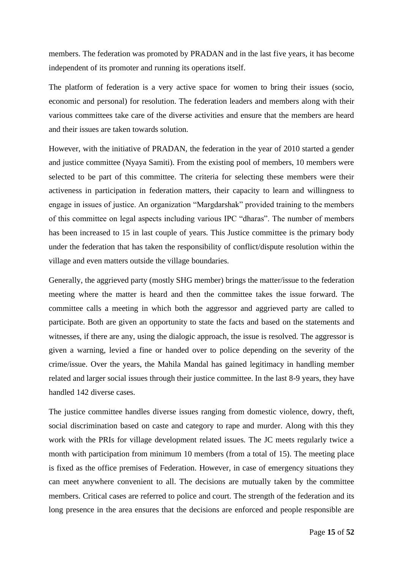members. The federation was promoted by PRADAN and in the last five years, it has become independent of its promoter and running its operations itself.

The platform of federation is a very active space for women to bring their issues (socio, economic and personal) for resolution. The federation leaders and members along with their various committees take care of the diverse activities and ensure that the members are heard and their issues are taken towards solution.

However, with the initiative of PRADAN, the federation in the year of 2010 started a gender and justice committee (Nyaya Samiti). From the existing pool of members, 10 members were selected to be part of this committee. The criteria for selecting these members were their activeness in participation in federation matters, their capacity to learn and willingness to engage in issues of justice. An organization "Margdarshak" provided training to the members of this committee on legal aspects including various IPC "dharas". The number of members has been increased to 15 in last couple of years. This Justice committee is the primary body under the federation that has taken the responsibility of conflict/dispute resolution within the village and even matters outside the village boundaries.

Generally, the aggrieved party (mostly SHG member) brings the matter/issue to the federation meeting where the matter is heard and then the committee takes the issue forward. The committee calls a meeting in which both the aggressor and aggrieved party are called to participate. Both are given an opportunity to state the facts and based on the statements and witnesses, if there are any, using the dialogic approach, the issue is resolved. The aggressor is given a warning, levied a fine or handed over to police depending on the severity of the crime/issue. Over the years, the Mahila Mandal has gained legitimacy in handling member related and larger social issues through their justice committee. In the last 8-9 years, they have handled 142 diverse cases.

The justice committee handles diverse issues ranging from domestic violence, dowry, theft, social discrimination based on caste and category to rape and murder. Along with this they work with the PRIs for village development related issues. The JC meets regularly twice a month with participation from minimum 10 members (from a total of 15). The meeting place is fixed as the office premises of Federation. However, in case of emergency situations they can meet anywhere convenient to all. The decisions are mutually taken by the committee members. Critical cases are referred to police and court. The strength of the federation and its long presence in the area ensures that the decisions are enforced and people responsible are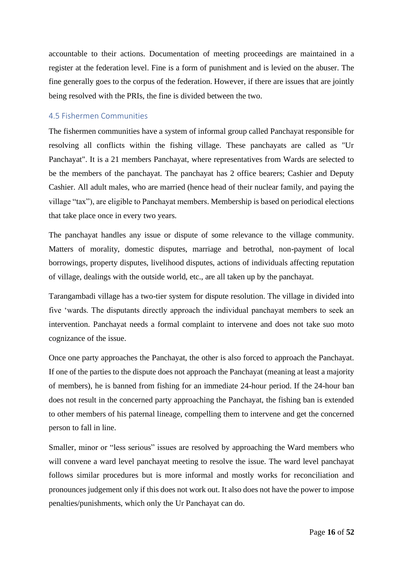accountable to their actions. Documentation of meeting proceedings are maintained in a register at the federation level. Fine is a form of punishment and is levied on the abuser. The fine generally goes to the corpus of the federation. However, if there are issues that are jointly being resolved with the PRIs, the fine is divided between the two.

#### <span id="page-16-0"></span>4.5 Fishermen Communities

The fishermen communities have a system of informal group called Panchayat responsible for resolving all conflicts within the fishing village. These panchayats are called as "Ur Panchayat". It is a 21 members Panchayat, where representatives from Wards are selected to be the members of the panchayat. The panchayat has 2 office bearers; Cashier and Deputy Cashier. All adult males, who are married (hence head of their nuclear family, and paying the village "tax"), are eligible to Panchayat members. Membership is based on periodical elections that take place once in every two years.

The panchayat handles any issue or dispute of some relevance to the village community. Matters of morality, domestic disputes, marriage and betrothal, non-payment of local borrowings, property disputes, livelihood disputes, actions of individuals affecting reputation of village, dealings with the outside world, etc., are all taken up by the panchayat.

Tarangambadi village has a two-tier system for dispute resolution. The village in divided into five 'wards. The disputants directly approach the individual panchayat members to seek an intervention. Panchayat needs a formal complaint to intervene and does not take suo moto cognizance of the issue.

Once one party approaches the Panchayat, the other is also forced to approach the Panchayat. If one of the parties to the dispute does not approach the Panchayat (meaning at least a majority of members), he is banned from fishing for an immediate 24-hour period. If the 24-hour ban does not result in the concerned party approaching the Panchayat, the fishing ban is extended to other members of his paternal lineage, compelling them to intervene and get the concerned person to fall in line.

Smaller, minor or "less serious" issues are resolved by approaching the Ward members who will convene a ward level panchayat meeting to resolve the issue. The ward level panchayat follows similar procedures but is more informal and mostly works for reconciliation and pronounces judgement only if this does not work out. It also does not have the power to impose penalties/punishments, which only the Ur Panchayat can do.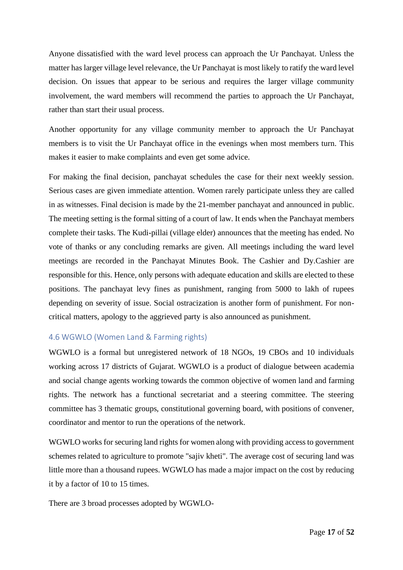Anyone dissatisfied with the ward level process can approach the Ur Panchayat. Unless the matter has larger village level relevance, the Ur Panchayat is most likely to ratify the ward level decision. On issues that appear to be serious and requires the larger village community involvement, the ward members will recommend the parties to approach the Ur Panchayat, rather than start their usual process.

Another opportunity for any village community member to approach the Ur Panchayat members is to visit the Ur Panchayat office in the evenings when most members turn. This makes it easier to make complaints and even get some advice.

For making the final decision, panchayat schedules the case for their next weekly session. Serious cases are given immediate attention. Women rarely participate unless they are called in as witnesses. Final decision is made by the 21-member panchayat and announced in public. The meeting setting is the formal sitting of a court of law. It ends when the Panchayat members complete their tasks. The Kudi-pillai (village elder) announces that the meeting has ended. No vote of thanks or any concluding remarks are given. All meetings including the ward level meetings are recorded in the Panchayat Minutes Book. The Cashier and Dy.Cashier are responsible for this. Hence, only persons with adequate education and skills are elected to these positions. The panchayat levy fines as punishment, ranging from 5000 to lakh of rupees depending on severity of issue. Social ostracization is another form of punishment. For noncritical matters, apology to the aggrieved party is also announced as punishment.

#### <span id="page-17-0"></span>4.6 WGWLO (Women Land & Farming rights)

WGWLO is a formal but unregistered network of 18 NGOs, 19 CBOs and 10 individuals working across 17 districts of Gujarat. WGWLO is a product of dialogue between academia and social change agents working towards the common objective of women land and farming rights. The network has a functional secretariat and a steering committee. The steering committee has 3 thematic groups, constitutional governing board, with positions of convener, coordinator and mentor to run the operations of the network.

WGWLO works for securing land rights for women along with providing access to government schemes related to agriculture to promote "sajiv kheti". The average cost of securing land was little more than a thousand rupees. WGWLO has made a major impact on the cost by reducing it by a factor of 10 to 15 times.

There are 3 broad processes adopted by WGWLO-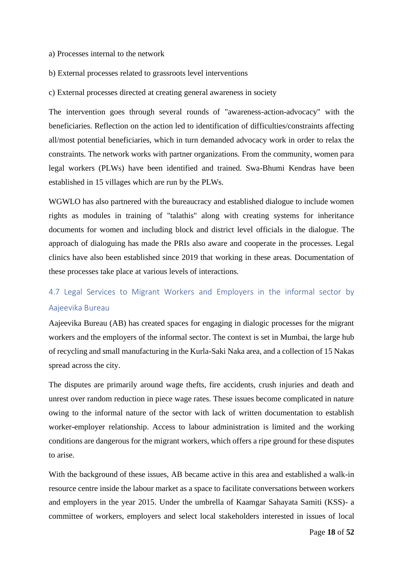- a) Processes internal to the network
- b) External processes related to grassroots level interventions
- c) External processes directed at creating general awareness in society

The intervention goes through several rounds of "awareness-action-advocacy" with the beneficiaries. Reflection on the action led to identification of difficulties/constraints affecting all/most potential beneficiaries, which in turn demanded advocacy work in order to relax the constraints. The network works with partner organizations. From the community, women para legal workers (PLWs) have been identified and trained. Swa-Bhumi Kendras have been established in 15 villages which are run by the PLWs.

WGWLO has also partnered with the bureaucracy and established dialogue to include women rights as modules in training of "talathis" along with creating systems for inheritance documents for women and including block and district level officials in the dialogue. The approach of dialoguing has made the PRIs also aware and cooperate in the processes. Legal clinics have also been established since 2019 that working in these areas. Documentation of these processes take place at various levels of interactions.

# <span id="page-18-0"></span>4.7 Legal Services to Migrant Workers and Employers in the informal sector by Aajeevika Bureau

Aajeevika Bureau (AB) has created spaces for engaging in dialogic processes for the migrant workers and the employers of the informal sector. The context is set in Mumbai, the large hub of recycling and small manufacturing in the Kurla-Saki Naka area, and a collection of 15 Nakas spread across the city.

The disputes are primarily around wage thefts, fire accidents, crush injuries and death and unrest over random reduction in piece wage rates. These issues become complicated in nature owing to the informal nature of the sector with lack of written documentation to establish worker-employer relationship. Access to labour administration is limited and the working conditions are dangerous for the migrant workers, which offers a ripe ground for these disputes to arise.

With the background of these issues, AB became active in this area and established a walk-in resource centre inside the labour market as a space to facilitate conversations between workers and employers in the year 2015. Under the umbrella of Kaamgar Sahayata Samiti (KSS)- a committee of workers, employers and select local stakeholders interested in issues of local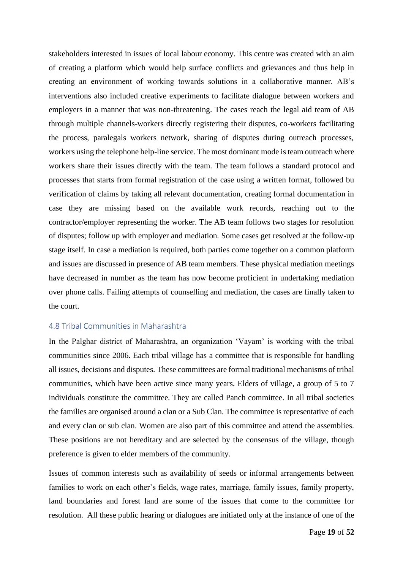stakeholders interested in issues of local labour economy. This centre was created with an aim of creating a platform which would help surface conflicts and grievances and thus help in creating an environment of working towards solutions in a collaborative manner. AB's interventions also included creative experiments to facilitate dialogue between workers and employers in a manner that was non-threatening. The cases reach the legal aid team of AB through multiple channels-workers directly registering their disputes, co-workers facilitating the process, paralegals workers network, sharing of disputes during outreach processes, workers using the telephone help-line service. The most dominant mode is team outreach where workers share their issues directly with the team. The team follows a standard protocol and processes that starts from formal registration of the case using a written format, followed bu verification of claims by taking all relevant documentation, creating formal documentation in case they are missing based on the available work records, reaching out to the contractor/employer representing the worker. The AB team follows two stages for resolution of disputes; follow up with employer and mediation. Some cases get resolved at the follow-up stage itself. In case a mediation is required, both parties come together on a common platform and issues are discussed in presence of AB team members. These physical mediation meetings have decreased in number as the team has now become proficient in undertaking mediation over phone calls. Failing attempts of counselling and mediation, the cases are finally taken to the court.

#### <span id="page-19-0"></span>4.8 Tribal Communities in Maharashtra

In the Palghar district of Maharashtra, an organization 'Vayam' is working with the tribal communities since 2006. Each tribal village has a committee that is responsible for handling all issues, decisions and disputes. These committees are formal traditional mechanisms of tribal communities, which have been active since many years. Elders of village, a group of 5 to 7 individuals constitute the committee. They are called Panch committee. In all tribal societies the families are organised around a clan or a Sub Clan. The committee is representative of each and every clan or sub clan. Women are also part of this committee and attend the assemblies. These positions are not hereditary and are selected by the consensus of the village, though preference is given to elder members of the community.

Issues of common interests such as availability of seeds or informal arrangements between families to work on each other's fields, wage rates, marriage, family issues, family property, land boundaries and forest land are some of the issues that come to the committee for resolution. All these public hearing or dialogues are initiated only at the instance of one of the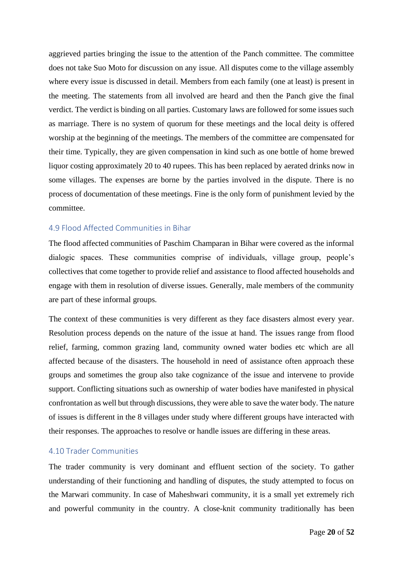aggrieved parties bringing the issue to the attention of the Panch committee. The committee does not take Suo Moto for discussion on any issue. All disputes come to the village assembly where every issue is discussed in detail. Members from each family (one at least) is present in the meeting. The statements from all involved are heard and then the Panch give the final verdict. The verdict is binding on all parties. Customary laws are followed for some issues such as marriage. There is no system of quorum for these meetings and the local deity is offered worship at the beginning of the meetings. The members of the committee are compensated for their time. Typically, they are given compensation in kind such as one bottle of home brewed liquor costing approximately 20 to 40 rupees. This has been replaced by aerated drinks now in some villages. The expenses are borne by the parties involved in the dispute. There is no process of documentation of these meetings. Fine is the only form of punishment levied by the committee.

#### <span id="page-20-0"></span>4.9 Flood Affected Communities in Bihar

The flood affected communities of Paschim Champaran in Bihar were covered as the informal dialogic spaces. These communities comprise of individuals, village group, people's collectives that come together to provide relief and assistance to flood affected households and engage with them in resolution of diverse issues. Generally, male members of the community are part of these informal groups.

The context of these communities is very different as they face disasters almost every year. Resolution process depends on the nature of the issue at hand. The issues range from flood relief, farming, common grazing land, community owned water bodies etc which are all affected because of the disasters. The household in need of assistance often approach these groups and sometimes the group also take cognizance of the issue and intervene to provide support. Conflicting situations such as ownership of water bodies have manifested in physical confrontation as well but through discussions, they were able to save the water body. The nature of issues is different in the 8 villages under study where different groups have interacted with their responses. The approaches to resolve or handle issues are differing in these areas.

#### <span id="page-20-1"></span>4.10 Trader Communities

The trader community is very dominant and effluent section of the society. To gather understanding of their functioning and handling of disputes, the study attempted to focus on the Marwari community. In case of Maheshwari community, it is a small yet extremely rich and powerful community in the country. A close-knit community traditionally has been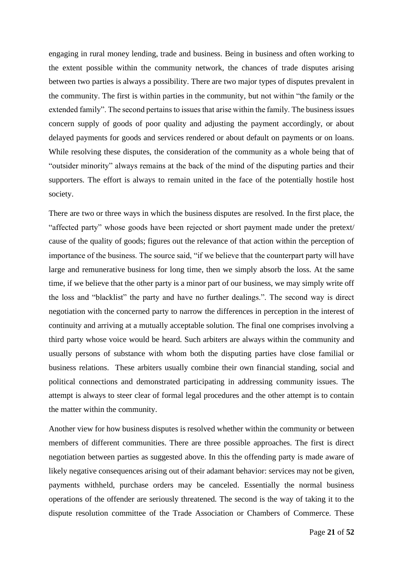engaging in rural money lending, trade and business. Being in business and often working to the extent possible within the community network, the chances of trade disputes arising between two parties is always a possibility. There are two major types of disputes prevalent in the community. The first is within parties in the community, but not within "the family or the extended family". The second pertains to issues that arise within the family. The business issues concern supply of goods of poor quality and adjusting the payment accordingly, or about delayed payments for goods and services rendered or about default on payments or on loans. While resolving these disputes, the consideration of the community as a whole being that of "outsider minority" always remains at the back of the mind of the disputing parties and their supporters. The effort is always to remain united in the face of the potentially hostile host society.

There are two or three ways in which the business disputes are resolved. In the first place, the "affected party" whose goods have been rejected or short payment made under the pretext/ cause of the quality of goods; figures out the relevance of that action within the perception of importance of the business. The source said, "if we believe that the counterpart party will have large and remunerative business for long time, then we simply absorb the loss. At the same time, if we believe that the other party is a minor part of our business, we may simply write off the loss and "blacklist" the party and have no further dealings.". The second way is direct negotiation with the concerned party to narrow the differences in perception in the interest of continuity and arriving at a mutually acceptable solution. The final one comprises involving a third party whose voice would be heard. Such arbiters are always within the community and usually persons of substance with whom both the disputing parties have close familial or business relations. These arbiters usually combine their own financial standing, social and political connections and demonstrated participating in addressing community issues. The attempt is always to steer clear of formal legal procedures and the other attempt is to contain the matter within the community.

Another view for how business disputes is resolved whether within the community or between members of different communities. There are three possible approaches. The first is direct negotiation between parties as suggested above. In this the offending party is made aware of likely negative consequences arising out of their adamant behavior: services may not be given, payments withheld, purchase orders may be canceled. Essentially the normal business operations of the offender are seriously threatened. The second is the way of taking it to the dispute resolution committee of the Trade Association or Chambers of Commerce. These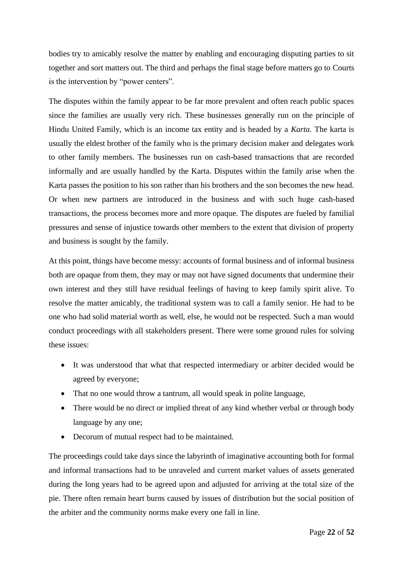bodies try to amicably resolve the matter by enabling and encouraging disputing parties to sit together and sort matters out. The third and perhaps the final stage before matters go to Courts is the intervention by "power centers".

The disputes within the family appear to be far more prevalent and often reach public spaces since the families are usually very rich. These businesses generally run on the principle of Hindu United Family, which is an income tax entity and is headed by a *Karta.* The karta is usually the eldest brother of the family who is the primary decision maker and delegates work to other family members. The businesses run on cash-based transactions that are recorded informally and are usually handled by the Karta. Disputes within the family arise when the Karta passes the position to his son rather than his brothers and the son becomes the new head. Or when new partners are introduced in the business and with such huge cash-based transactions, the process becomes more and more opaque. The disputes are fueled by familial pressures and sense of injustice towards other members to the extent that division of property and business is sought by the family.

At this point, things have become messy: accounts of formal business and of informal business both are opaque from them, they may or may not have signed documents that undermine their own interest and they still have residual feelings of having to keep family spirit alive. To resolve the matter amicably, the traditional system was to call a family senior. He had to be one who had solid material worth as well, else, he would not be respected. Such a man would conduct proceedings with all stakeholders present. There were some ground rules for solving these issues:

- It was understood that what that respected intermediary or arbiter decided would be agreed by everyone;
- That no one would throw a tantrum, all would speak in polite language,
- There would be no direct or implied threat of any kind whether verbal or through body language by any one;
- Decorum of mutual respect had to be maintained.

The proceedings could take days since the labyrinth of imaginative accounting both for formal and informal transactions had to be unraveled and current market values of assets generated during the long years had to be agreed upon and adjusted for arriving at the total size of the pie. There often remain heart burns caused by issues of distribution but the social position of the arbiter and the community norms make every one fall in line.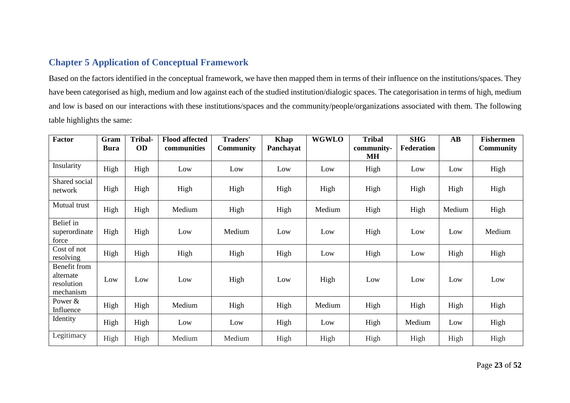# **Chapter 5 Application of Conceptual Framework**

Based on the factors identified in the conceptual framework, we have then mapped them in terms of their influence on the institutions/spaces. They have been categorised as high, medium and low against each of the studied institution/dialogic spaces. The categorisation in terms of high, medium and low is based on our interactions with these institutions/spaces and the community/people/organizations associated with them. The following table highlights the same:

<span id="page-23-0"></span>

| <b>Factor</b>                                        | Gram<br><b>Bura</b> | <b>Tribal-</b><br>OD | <b>Flood affected</b><br>communities | Traders'<br><b>Community</b> | Khap<br>Panchayat | <b>WGWLO</b> | <b>Tribal</b><br>community-<br><b>MH</b> | <b>SHG</b><br><b>Federation</b> | $\mathbf{A}\mathbf{B}$ | <b>Fishermen</b><br><b>Community</b> |
|------------------------------------------------------|---------------------|----------------------|--------------------------------------|------------------------------|-------------------|--------------|------------------------------------------|---------------------------------|------------------------|--------------------------------------|
| Insularity                                           | High                | High                 | Low                                  | Low                          | Low               | Low          | High                                     | Low                             | Low                    | High                                 |
| Shared social<br>network                             | High                | High                 | High                                 | High                         | High              | High         | High                                     | High                            | High                   | High                                 |
| Mutual trust                                         | High                | High                 | Medium                               | High                         | High              | Medium       | High                                     | High                            | Medium                 | High                                 |
| Belief in<br>superordinate<br>force                  | High                | High                 | Low                                  | Medium                       | Low               | Low          | High                                     | Low                             | Low                    | Medium                               |
| Cost of not<br>resolving                             | High                | High                 | High                                 | High                         | High              | Low          | High                                     | Low                             | High                   | High                                 |
| Benefit from<br>alternate<br>resolution<br>mechanism | Low                 | Low                  | Low                                  | High                         | Low               | High         | Low                                      | Low                             | Low                    | Low                                  |
| Power &<br>Influence                                 | High                | High                 | Medium                               | High                         | High              | Medium       | High                                     | High                            | High                   | High                                 |
| Identity                                             | High                | High                 | Low                                  | Low                          | High              | Low          | High                                     | Medium                          | Low                    | High                                 |
| Legitimacy                                           | High                | High                 | Medium                               | Medium                       | High              | High         | High                                     | High                            | High                   | High                                 |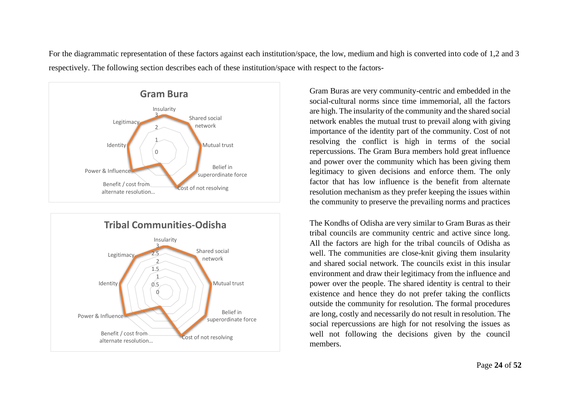For the diagrammatic representation of these factors against each institution/space, the low, medium and high is converted into code of 1,2 and 3 respectively. The following section describes each of these institution/space with respect to the factors-





Gram Buras are very community-centric and embedded in the social-cultural norms since time immemorial, all the factors are high. The insularity of the community and the shared social network enables the mutual trust to prevail along with giving importance of the identity part of the community. Cost of not resolving the conflict is high in terms of the social repercussions. The Gram Bura members hold great influence and power over the community which has been giving them legitimacy to given decisions and enforce them. The only factor that has low influence is the benefit from alternate resolution mechanism as they prefer keeping the issues within the community to preserve the prevailing norms and practices

The Kondhs of Odisha are very similar to Gram Buras as their tribal councils are community centric and active since long. All the factors are high for the tribal councils of Odisha as well. The communities are close-knit giving them insularity and shared social network. The councils exist in this insular environment and draw their legitimacy from the influence and power over the people. The shared identity is central to their existence and hence they do not prefer taking the conflicts outside the community for resolution. The formal procedures are long, costly and necessarily do not result in resolution. The social repercussions are high for not resolving the issues as well not following the decisions given by the council members.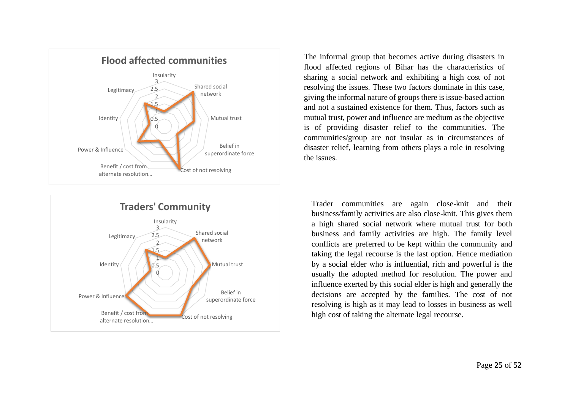



The informal group that becomes active during disasters in flood affected regions of Bihar has the characteristics of sharing a social network and exhibiting a high cost of not resolving the issues. These two factors dominate in this case, giving the informal nature of groups there is issue-based action and not a sustained existence for them. Thus, factors such as mutual trust, power and influence are medium as the objective is of providing disaster relief to the communities. The communities/group are not insular as in circumstances of disaster relief, learning from others plays a role in resolving the issues.

Trader communities are again close-knit and their business/family activities are also close-knit. This gives them a high shared social network where mutual trust for both business and family activities are high. The family level conflicts are preferred to be kept within the community and taking the legal recourse is the last option. Hence mediation by a social elder who is influential, rich and powerful is the usually the adopted method for resolution. The power and influence exerted by this social elder is high and generally the decisions are accepted by the families. The cost of not resolving is high as it may lead to losses in business as well high cost of taking the alternate legal recourse.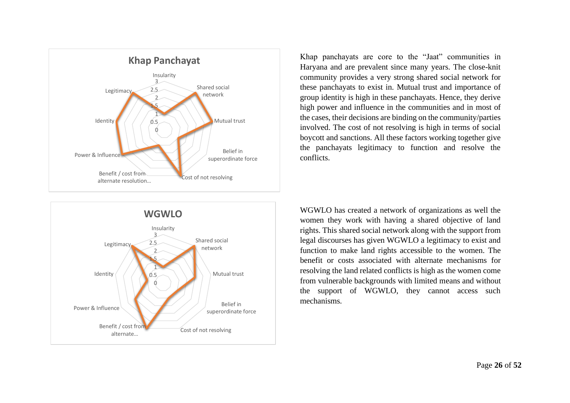



Khap panchayats are core to the "Jaat" communities in Haryana and are prevalent since many years. The close-knit community provides a very strong shared social network for these panchayats to exist in. Mutual trust and importance of group identity is high in these panchayats. Hence, they derive high power and influence in the communities and in most of the cases, their decisions are binding on the community/parties involved. The cost of not resolving is high in terms of social boycott and sanctions. All these factors working together give the panchayats legitimacy to function and resolve the conflicts.

WGWLO has created a network of organizations as well the women they work with having a shared objective of land rights. This shared social network along with the support from legal discourses has given WGWLO a legitimacy to exist and function to make land rights accessible to the women. The benefit or costs associated with alternate mechanisms for resolving the land related conflicts is high as the women come from vulnerable backgrounds with limited means and without the support of WGWLO, they cannot access such mechanisms.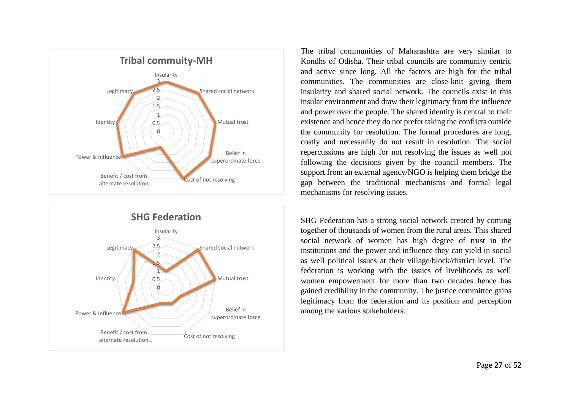



The tribal communities of Maharashtra are very similar to Kondhs of Odisha. Their tribal councils are community centric and active since long. All the factors are high for the tribal communities. The communities are close-knit giving them insularity and shared social network. The councils exist in this insular environment and draw their legitimacy from the influence and power over the people. The shared identity is central to their existence and hence they do not prefer taking the conflicts outside the community for resolution. The formal procedures are long, costly and necessarily do not result in resolution. The social repercussions are high for not resolving the issues as well not following the decisions given by the council members. The support from an external agency/NGO is helping them bridge the gap between the traditional mechanisms and formal legal mechanisms for resolving issues.

SHG Federation has a strong social network created by coming together of thousands of women from the rural areas. This shared social network of women has high degree of trust in the institutions and the power and influence they can yield in social as well political issues at their village/block/district level. The federation is working with the issues of livelihoods as well women empowerment for more than two decades hence has gained credibility in the community. The justice committee gains legitimacy from the federation and its position and perception among the various stakeholders.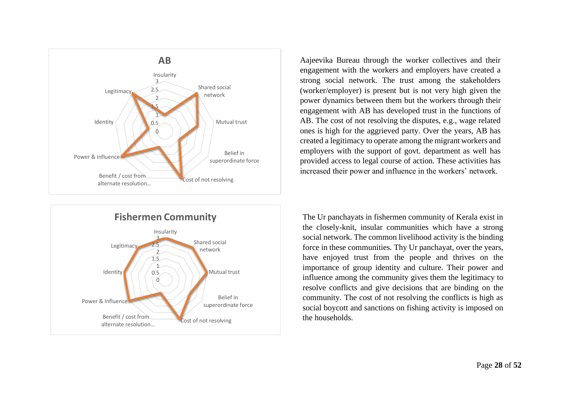



Aajeevika Bureau through the worker collectives and their engagement with the workers and employers have created a strong social network. The trust among the stakeholders (worker/employer) is present but is not very high given the power dynamics between them but the workers through their engagement with AB has developed trust in the functions of AB. The cost of not resolving the disputes, e.g., wage related ones is high for the aggrieved party. Over the years, AB has created a legitimacy to operate among the migrant workers and employers with the support of govt. department as well has provided access to legal course of action. These activities has increased their power and influence in the workers' network.

The Ur panchayats in fishermen community of Kerala exist in the closely-knit, insular communities which have a strong social network. The common livelihood activity is the binding force in these communities. Thy Ur panchayat, over the years, have enjoyed trust from the people and thrives on the importance of group identity and culture. Their power and influence among the community gives them the legitimacy to resolve conflicts and give decisions that are binding on the community. The cost of not resolving the conflicts is high as social boycott and sanctions on fishing activity is imposed on the households.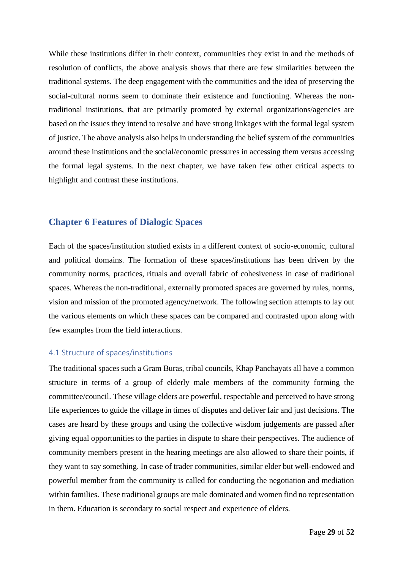While these institutions differ in their context, communities they exist in and the methods of resolution of conflicts, the above analysis shows that there are few similarities between the traditional systems. The deep engagement with the communities and the idea of preserving the social-cultural norms seem to dominate their existence and functioning. Whereas the nontraditional institutions, that are primarily promoted by external organizations/agencies are based on the issues they intend to resolve and have strong linkages with the formal legal system of justice. The above analysis also helps in understanding the belief system of the communities around these institutions and the social/economic pressures in accessing them versus accessing the formal legal systems. In the next chapter, we have taken few other critical aspects to highlight and contrast these institutions.

#### <span id="page-29-0"></span>**Chapter 6 Features of Dialogic Spaces**

Each of the spaces/institution studied exists in a different context of socio-economic, cultural and political domains. The formation of these spaces/institutions has been driven by the community norms, practices, rituals and overall fabric of cohesiveness in case of traditional spaces. Whereas the non-traditional, externally promoted spaces are governed by rules, norms, vision and mission of the promoted agency/network. The following section attempts to lay out the various elements on which these spaces can be compared and contrasted upon along with few examples from the field interactions.

#### <span id="page-29-1"></span>4.1 Structure of spaces/institutions

The traditional spaces such a Gram Buras, tribal councils, Khap Panchayats all have a common structure in terms of a group of elderly male members of the community forming the committee/council. These village elders are powerful, respectable and perceived to have strong life experiences to guide the village in times of disputes and deliver fair and just decisions. The cases are heard by these groups and using the collective wisdom judgements are passed after giving equal opportunities to the parties in dispute to share their perspectives. The audience of community members present in the hearing meetings are also allowed to share their points, if they want to say something. In case of trader communities, similar elder but well-endowed and powerful member from the community is called for conducting the negotiation and mediation within families. These traditional groups are male dominated and women find no representation in them. Education is secondary to social respect and experience of elders.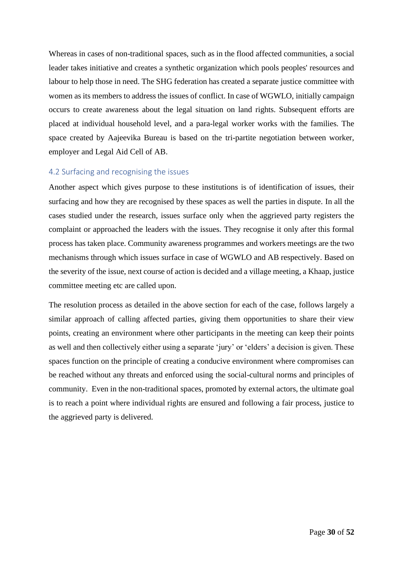Whereas in cases of non-traditional spaces, such as in the flood affected communities, a social leader takes initiative and creates a synthetic organization which pools peoples' resources and labour to help those in need. The SHG federation has created a separate justice committee with women as its members to address the issues of conflict. In case of WGWLO, initially campaign occurs to create awareness about the legal situation on land rights. Subsequent efforts are placed at individual household level, and a para-legal worker works with the families. The space created by Aajeevika Bureau is based on the tri-partite negotiation between worker, employer and Legal Aid Cell of AB.

#### <span id="page-30-0"></span>4.2 Surfacing and recognising the issues

Another aspect which gives purpose to these institutions is of identification of issues, their surfacing and how they are recognised by these spaces as well the parties in dispute. In all the cases studied under the research, issues surface only when the aggrieved party registers the complaint or approached the leaders with the issues. They recognise it only after this formal process has taken place. Community awareness programmes and workers meetings are the two mechanisms through which issues surface in case of WGWLO and AB respectively. Based on the severity of the issue, next course of action is decided and a village meeting, a Khaap, justice committee meeting etc are called upon.

The resolution process as detailed in the above section for each of the case, follows largely a similar approach of calling affected parties, giving them opportunities to share their view points, creating an environment where other participants in the meeting can keep their points as well and then collectively either using a separate 'jury' or 'elders' a decision is given. These spaces function on the principle of creating a conducive environment where compromises can be reached without any threats and enforced using the social-cultural norms and principles of community. Even in the non-traditional spaces, promoted by external actors, the ultimate goal is to reach a point where individual rights are ensured and following a fair process, justice to the aggrieved party is delivered.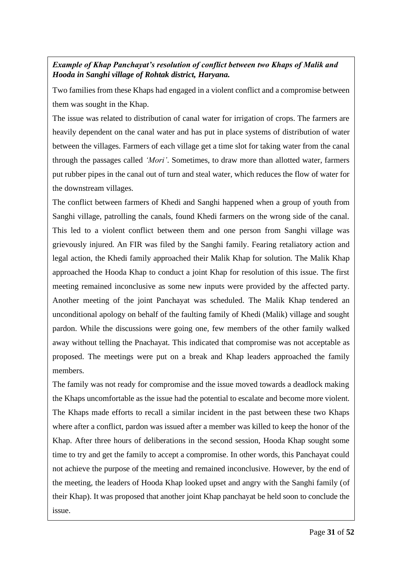# *Example of Khap Panchayat's resolution of conflict between two Khaps of Malik and Hooda in Sanghi village of Rohtak district, Haryana.*

Two families from these Khaps had engaged in a violent conflict and a compromise between them was sought in the Khap.

The issue was related to distribution of canal water for irrigation of crops. The farmers are heavily dependent on the canal water and has put in place systems of distribution of water between the villages. Farmers of each village get a time slot for taking water from the canal through the passages called *'Mori'*. Sometimes, to draw more than allotted water, farmers put rubber pipes in the canal out of turn and steal water, which reduces the flow of water for the downstream villages.

The conflict between farmers of Khedi and Sanghi happened when a group of youth from Sanghi village, patrolling the canals, found Khedi farmers on the wrong side of the canal. This led to a violent conflict between them and one person from Sanghi village was grievously injured. An FIR was filed by the Sanghi family. Fearing retaliatory action and legal action, the Khedi family approached their Malik Khap for solution. The Malik Khap approached the Hooda Khap to conduct a joint Khap for resolution of this issue. The first meeting remained inconclusive as some new inputs were provided by the affected party. Another meeting of the joint Panchayat was scheduled. The Malik Khap tendered an unconditional apology on behalf of the faulting family of Khedi (Malik) village and sought pardon. While the discussions were going one, few members of the other family walked away without telling the Pnachayat. This indicated that compromise was not acceptable as proposed. The meetings were put on a break and Khap leaders approached the family members.

The family was not ready for compromise and the issue moved towards a deadlock making the Khaps uncomfortable as the issue had the potential to escalate and become more violent. The Khaps made efforts to recall a similar incident in the past between these two Khaps where after a conflict, pardon was issued after a member was killed to keep the honor of the Khap. After three hours of deliberations in the second session, Hooda Khap sought some time to try and get the family to accept a compromise. In other words, this Panchayat could not achieve the purpose of the meeting and remained inconclusive. However, by the end of the meeting, the leaders of Hooda Khap looked upset and angry with the Sanghi family (of their Khap). It was proposed that another joint Khap panchayat be held soon to conclude the issue.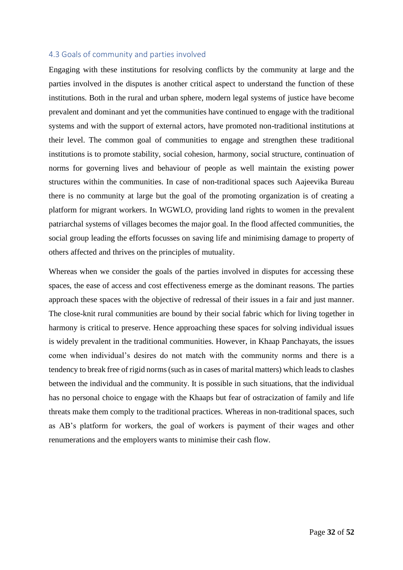#### <span id="page-32-0"></span>4.3 Goals of community and parties involved

Engaging with these institutions for resolving conflicts by the community at large and the parties involved in the disputes is another critical aspect to understand the function of these institutions. Both in the rural and urban sphere, modern legal systems of justice have become prevalent and dominant and yet the communities have continued to engage with the traditional systems and with the support of external actors, have promoted non-traditional institutions at their level. The common goal of communities to engage and strengthen these traditional institutions is to promote stability, social cohesion, harmony, social structure, continuation of norms for governing lives and behaviour of people as well maintain the existing power structures within the communities. In case of non-traditional spaces such Aajeevika Bureau there is no community at large but the goal of the promoting organization is of creating a platform for migrant workers. In WGWLO, providing land rights to women in the prevalent patriarchal systems of villages becomes the major goal. In the flood affected communities, the social group leading the efforts focusses on saving life and minimising damage to property of others affected and thrives on the principles of mutuality.

Whereas when we consider the goals of the parties involved in disputes for accessing these spaces, the ease of access and cost effectiveness emerge as the dominant reasons. The parties approach these spaces with the objective of redressal of their issues in a fair and just manner. The close-knit rural communities are bound by their social fabric which for living together in harmony is critical to preserve. Hence approaching these spaces for solving individual issues is widely prevalent in the traditional communities. However, in Khaap Panchayats, the issues come when individual's desires do not match with the community norms and there is a tendency to break free of rigid norms (such as in cases of marital matters) which leads to clashes between the individual and the community. It is possible in such situations, that the individual has no personal choice to engage with the Khaaps but fear of ostracization of family and life threats make them comply to the traditional practices. Whereas in non-traditional spaces, such as AB's platform for workers, the goal of workers is payment of their wages and other renumerations and the employers wants to minimise their cash flow.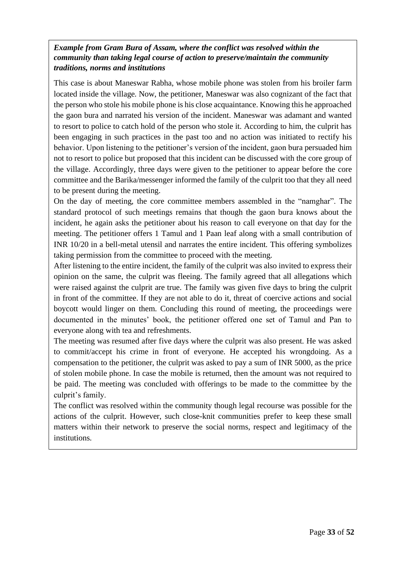## *Example from Gram Bura of Assam, where the conflict was resolved within the community than taking legal course of action to preserve/maintain the community traditions, norms and institutions*

This case is about Maneswar Rabha, whose mobile phone was stolen from his broiler farm located inside the village. Now, the petitioner, Maneswar was also cognizant of the fact that the person who stole his mobile phone is his close acquaintance. Knowing this he approached the gaon bura and narrated his version of the incident. Maneswar was adamant and wanted to resort to police to catch hold of the person who stole it. According to him, the culprit has been engaging in such practices in the past too and no action was initiated to rectify his behavior. Upon listening to the petitioner's version of the incident, gaon bura persuaded him not to resort to police but proposed that this incident can be discussed with the core group of the village. Accordingly, three days were given to the petitioner to appear before the core committee and the Barika/messenger informed the family of the culprit too that they all need to be present during the meeting.

On the day of meeting, the core committee members assembled in the "namghar". The standard protocol of such meetings remains that though the gaon bura knows about the incident, he again asks the petitioner about his reason to call everyone on that day for the meeting. The petitioner offers 1 Tamul and 1 Paan leaf along with a small contribution of INR 10/20 in a bell-metal utensil and narrates the entire incident. This offering symbolizes taking permission from the committee to proceed with the meeting.

After listening to the entire incident, the family of the culprit was also invited to express their opinion on the same, the culprit was fleeing. The family agreed that all allegations which were raised against the culprit are true. The family was given five days to bring the culprit in front of the committee. If they are not able to do it, threat of coercive actions and social boycott would linger on them. Concluding this round of meeting, the proceedings were documented in the minutes' book, the petitioner offered one set of Tamul and Pan to everyone along with tea and refreshments.

The meeting was resumed after five days where the culprit was also present. He was asked to commit/accept his crime in front of everyone. He accepted his wrongdoing. As a compensation to the petitioner, the culprit was asked to pay a sum of INR 5000, as the price of stolen mobile phone. In case the mobile is returned, then the amount was not required to be paid. The meeting was concluded with offerings to be made to the committee by the culprit's family.

The conflict was resolved within the community though legal recourse was possible for the actions of the culprit. However, such close-knit communities prefer to keep these small matters within their network to preserve the social norms, respect and legitimacy of the institutions.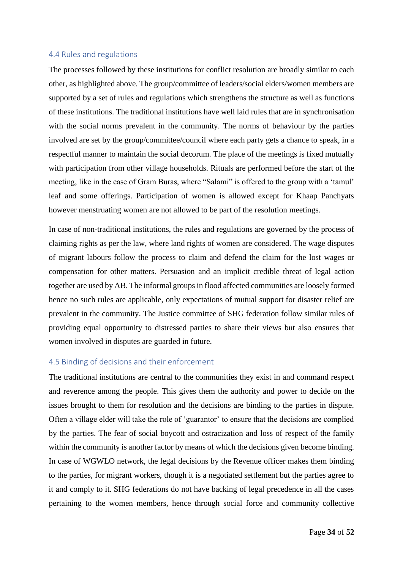#### <span id="page-34-0"></span>4.4 Rules and regulations

The processes followed by these institutions for conflict resolution are broadly similar to each other, as highlighted above. The group/committee of leaders/social elders/women members are supported by a set of rules and regulations which strengthens the structure as well as functions of these institutions. The traditional institutions have well laid rules that are in synchronisation with the social norms prevalent in the community. The norms of behaviour by the parties involved are set by the group/committee/council where each party gets a chance to speak, in a respectful manner to maintain the social decorum. The place of the meetings is fixed mutually with participation from other village households. Rituals are performed before the start of the meeting, like in the case of Gram Buras, where "Salami" is offered to the group with a 'tamul' leaf and some offerings. Participation of women is allowed except for Khaap Panchyats however menstruating women are not allowed to be part of the resolution meetings.

In case of non-traditional institutions, the rules and regulations are governed by the process of claiming rights as per the law, where land rights of women are considered. The wage disputes of migrant labours follow the process to claim and defend the claim for the lost wages or compensation for other matters. Persuasion and an implicit credible threat of legal action together are used by AB. The informal groups in flood affected communities are loosely formed hence no such rules are applicable, only expectations of mutual support for disaster relief are prevalent in the community. The Justice committee of SHG federation follow similar rules of providing equal opportunity to distressed parties to share their views but also ensures that women involved in disputes are guarded in future.

#### <span id="page-34-1"></span>4.5 Binding of decisions and their enforcement

The traditional institutions are central to the communities they exist in and command respect and reverence among the people. This gives them the authority and power to decide on the issues brought to them for resolution and the decisions are binding to the parties in dispute. Often a village elder will take the role of 'guarantor' to ensure that the decisions are complied by the parties. The fear of social boycott and ostracization and loss of respect of the family within the community is another factor by means of which the decisions given become binding. In case of WGWLO network, the legal decisions by the Revenue officer makes them binding to the parties, for migrant workers, though it is a negotiated settlement but the parties agree to it and comply to it. SHG federations do not have backing of legal precedence in all the cases pertaining to the women members, hence through social force and community collective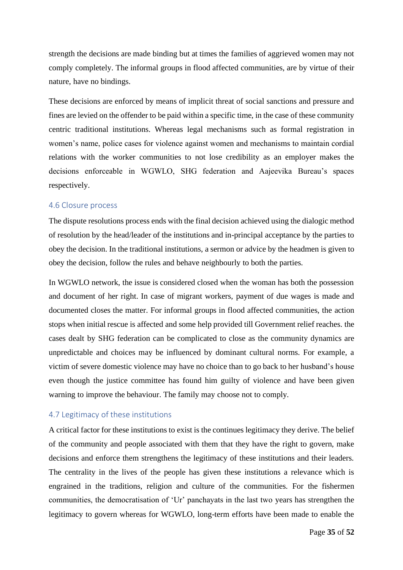strength the decisions are made binding but at times the families of aggrieved women may not comply completely. The informal groups in flood affected communities, are by virtue of their nature, have no bindings.

These decisions are enforced by means of implicit threat of social sanctions and pressure and fines are levied on the offender to be paid within a specific time, in the case of these community centric traditional institutions. Whereas legal mechanisms such as formal registration in women's name, police cases for violence against women and mechanisms to maintain cordial relations with the worker communities to not lose credibility as an employer makes the decisions enforceable in WGWLO, SHG federation and Aajeevika Bureau's spaces respectively.

#### <span id="page-35-0"></span>4.6 Closure process

The dispute resolutions process ends with the final decision achieved using the dialogic method of resolution by the head/leader of the institutions and in-principal acceptance by the parties to obey the decision. In the traditional institutions, a sermon or advice by the headmen is given to obey the decision, follow the rules and behave neighbourly to both the parties.

In WGWLO network, the issue is considered closed when the woman has both the possession and document of her right. In case of migrant workers, payment of due wages is made and documented closes the matter. For informal groups in flood affected communities, the action stops when initial rescue is affected and some help provided till Government relief reaches. the cases dealt by SHG federation can be complicated to close as the community dynamics are unpredictable and choices may be influenced by dominant cultural norms. For example, a victim of severe domestic violence may have no choice than to go back to her husband's house even though the justice committee has found him guilty of violence and have been given warning to improve the behaviour. The family may choose not to comply.

#### <span id="page-35-1"></span>4.7 Legitimacy of these institutions

A critical factor for these institutions to exist is the continues legitimacy they derive. The belief of the community and people associated with them that they have the right to govern, make decisions and enforce them strengthens the legitimacy of these institutions and their leaders. The centrality in the lives of the people has given these institutions a relevance which is engrained in the traditions, religion and culture of the communities. For the fishermen communities, the democratisation of 'Ur' panchayats in the last two years has strengthen the legitimacy to govern whereas for WGWLO, long-term efforts have been made to enable the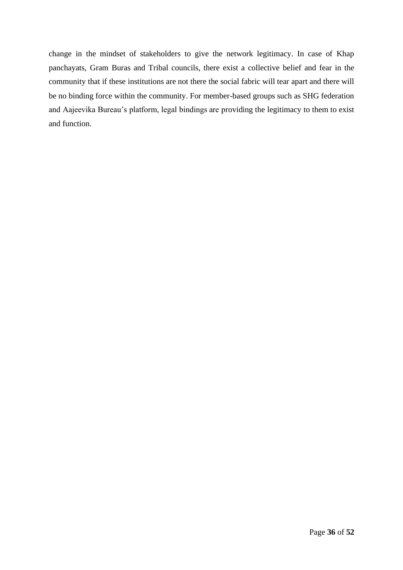change in the mindset of stakeholders to give the network legitimacy. In case of Khap panchayats, Gram Buras and Tribal councils, there exist a collective belief and fear in the community that if these institutions are not there the social fabric will tear apart and there will be no binding force within the community. For member-based groups such as SHG federation and Aajeevika Bureau's platform, legal bindings are providing the legitimacy to them to exist and function.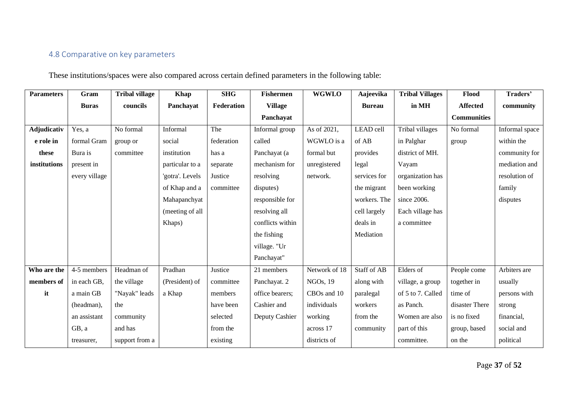# 4.8 Comparative on key parameters

These institutions/spaces were also compared across certain defined parameters in the following table:

| <b>Parameters</b>  | Gram          | <b>Tribal village</b> | Khap            | <b>SHG</b> | <b>Fishermen</b> | <b>WGWLO</b>          | Aajeevika          | <b>Tribal Villages</b> | Flood              | Traders'       |
|--------------------|---------------|-----------------------|-----------------|------------|------------------|-----------------------|--------------------|------------------------|--------------------|----------------|
|                    | <b>Buras</b>  | councils              | Panchayat       | Federation | <b>Village</b>   |                       | <b>Bureau</b>      | in MH                  | <b>Affected</b>    | community      |
|                    |               |                       |                 |            | Panchayat        |                       |                    |                        | <b>Communities</b> |                |
| <b>Adjudicativ</b> | Yes, a        | No formal             | Informal        | The        | Informal group   | As of 2021,           | LEAD cell          | Tribal villages        | No formal          | Informal space |
| e role in          | formal Gram   | group or              | social          | federation | called           | WGWLO is a            | of AB              | in Palghar             | group              | within the     |
| these              | Bura is       | committee             | institution     | has a      | Panchayat (a     | formal but            | provides           | district of MH.        |                    | community for  |
| institutions       | present in    |                       | particular to a | separate   | mechanism for    | unregistered          | legal              | Vayam                  |                    | mediation and  |
|                    | every village |                       | 'gotra'. Levels | Justice    | resolving        | network.              | services for       | organization has       |                    | resolution of  |
|                    |               |                       | of Khap and a   | committee  | disputes)        |                       | the migrant        | been working           |                    | family         |
|                    |               |                       | Mahapanchyat    |            | responsible for  |                       | workers. The       | since 2006.            |                    | disputes       |
|                    |               |                       | (meeting of all |            | resolving all    |                       | cell largely       | Each village has       |                    |                |
|                    |               |                       | Khaps)          |            | conflicts within |                       | deals in           | a committee            |                    |                |
|                    |               |                       |                 |            | the fishing      |                       | Mediation          |                        |                    |                |
|                    |               |                       |                 |            | village. "Ur     |                       |                    |                        |                    |                |
|                    |               |                       |                 |            | Panchayat"       |                       |                    |                        |                    |                |
| Who are the        | 4-5 members   | Headman of            | Pradhan         | Justice    | 21 members       | Network of 18         | <b>Staff of AB</b> | Elders of              | People come        | Arbiters are   |
| members of         | in each GB,   | the village           | (President) of  | committee  | Panchayat. 2     | NGO <sub>s</sub> , 19 | along with         | village, a group       | together in        | usually        |
| it                 | a main GB     | "Nayak" leads         | a Khap          | members    | office bearers;  | CBOs and 10           | paralegal          | of 5 to 7. Called      | time of            | persons with   |
|                    | (headman),    | the                   |                 | have been  | Cashier and      | individuals           | workers            | as Panch.              | disaster There     | strong         |
|                    | an assistant  | community             |                 | selected   | Deputy Cashier   | working               | from the           | Women are also         | is no fixed        | financial,     |
|                    | GB, a         | and has               |                 | from the   |                  | across 17             | community          | part of this           | group, based       | social and     |
|                    | treasurer,    | support from a        |                 | existing   |                  | districts of          |                    | committee.             | on the             | political      |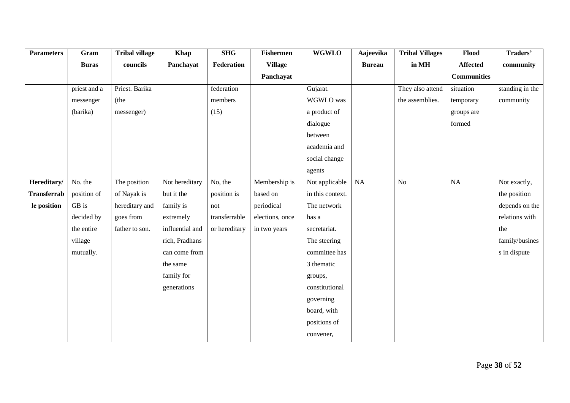| <b>Parameters</b>  | Gram         | <b>Tribal village</b> | <b>Khap</b>     | <b>SHG</b>    | <b>Fishermen</b> | <b>WGWLO</b>     | Aajeevika     | <b>Tribal Villages</b> | Flood              | Traders'        |
|--------------------|--------------|-----------------------|-----------------|---------------|------------------|------------------|---------------|------------------------|--------------------|-----------------|
|                    | <b>Buras</b> | councils              | Panchayat       | Federation    | <b>Village</b>   |                  | <b>Bureau</b> | in MH                  | <b>Affected</b>    | community       |
|                    |              |                       |                 |               | Panchayat        |                  |               |                        | <b>Communities</b> |                 |
|                    | priest and a | Priest. Barika        |                 | federation    |                  | Gujarat.         |               | They also attend       | situation          | standing in the |
|                    | messenger    | (the                  |                 | members       |                  | WGWLO was        |               | the assemblies.        | temporary          | community       |
|                    | (barika)     | messenger)            |                 | (15)          |                  | a product of     |               |                        | groups are         |                 |
|                    |              |                       |                 |               |                  | dialogue         |               |                        | formed             |                 |
|                    |              |                       |                 |               |                  | between          |               |                        |                    |                 |
|                    |              |                       |                 |               |                  | academia and     |               |                        |                    |                 |
|                    |              |                       |                 |               |                  | social change    |               |                        |                    |                 |
|                    |              |                       |                 |               |                  | agents           |               |                        |                    |                 |
| Hereditary/        | No. the      | The position          | Not hereditary  | No, the       | Membership is    | Not applicable   | NA            | $\rm No$               | $\rm NA$           | Not exactly,    |
| <b>Transferrab</b> | position of  | of Nayak is           | but it the      | position is   | based on         | in this context. |               |                        |                    | the position    |
| le position        | GB is        | hereditary and        | family is       | not           | periodical       | The network      |               |                        |                    | depends on the  |
|                    | decided by   | goes from             | extremely       | transferrable | elections, once  | has a            |               |                        |                    | relations with  |
|                    | the entire   | father to son.        | influential and | or hereditary | in two years     | secretariat.     |               |                        |                    | the             |
|                    | village      |                       | rich, Pradhans  |               |                  | The steering     |               |                        |                    | family/busines  |
|                    | mutually.    |                       | can come from   |               |                  | committee has    |               |                        |                    | s in dispute    |
|                    |              |                       | the same        |               |                  | 3 thematic       |               |                        |                    |                 |
|                    |              |                       | family for      |               |                  | groups,          |               |                        |                    |                 |
|                    |              |                       | generations     |               |                  | constitutional   |               |                        |                    |                 |
|                    |              |                       |                 |               |                  | governing        |               |                        |                    |                 |
|                    |              |                       |                 |               |                  | board, with      |               |                        |                    |                 |
|                    |              |                       |                 |               |                  | positions of     |               |                        |                    |                 |
|                    |              |                       |                 |               |                  | convener,        |               |                        |                    |                 |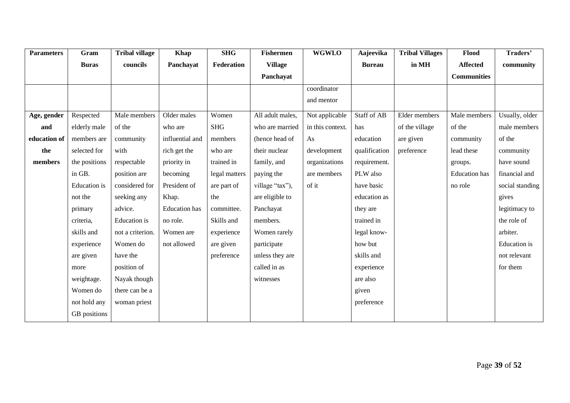| <b>Parameters</b> | Gram                | <b>Tribal village</b> | <b>Khap</b>          | <b>SHG</b>    | <b>Fishermen</b> | <b>WGWLO</b>     | Aajeevika     | <b>Tribal Villages</b> | Flood                | Traders'            |
|-------------------|---------------------|-----------------------|----------------------|---------------|------------------|------------------|---------------|------------------------|----------------------|---------------------|
|                   | <b>Buras</b>        | councils              | Panchayat            | Federation    | <b>Village</b>   |                  | <b>Bureau</b> | in MH                  | <b>Affected</b>      | community           |
|                   |                     |                       |                      |               | Panchayat        |                  |               |                        | <b>Communities</b>   |                     |
|                   |                     |                       |                      |               |                  | coordinator      |               |                        |                      |                     |
|                   |                     |                       |                      |               |                  | and mentor       |               |                        |                      |                     |
| Age, gender       | Respected           | Male members          | Older males          | Women         | All adult males, | Not applicable   | Staff of AB   | Elder members          | Male members         | Usually, older      |
| and               | elderly male        | of the                | who are              | <b>SHG</b>    | who are married  | in this context. | has           | of the village         | of the               | male members        |
| education of      | members are         | community             | influential and      | members       | (hence head of   | As               | education     | are given              | community            | of the              |
| the               | selected for        | with                  | rich get the         | who are       | their nuclear    | development      | qualification | preference             | lead these           | community           |
| members           | the positions       | respectable           | priority in          | trained in    | family, and      | organizations    | requirement.  |                        | groups.              | have sound          |
|                   | in GB.              | position are          | becoming             | legal matters | paying the       | are members      | PLW also      |                        | <b>Education</b> has | financial and       |
|                   | <b>Education</b> is | considered for        | President of         | are part of   | village "tax"),  | of it            | have basic    |                        | no role              | social standing     |
|                   | not the             | seeking any           | Khap.                | the           | are eligible to  |                  | education as  |                        |                      | gives               |
|                   | primary             | advice.               | <b>Education</b> has | committee.    | Panchayat        |                  | they are      |                        |                      | legitimacy to       |
|                   | criteria,           | Education is          | no role.             | Skills and    | members.         |                  | trained in    |                        |                      | the role of         |
|                   | skills and          | not a criterion.      | Women are            | experience    | Women rarely     |                  | legal know-   |                        |                      | arbiter.            |
|                   | experience          | Women do              | not allowed          | are given     | participate      |                  | how but       |                        |                      | <b>Education</b> is |
|                   | are given           | have the              |                      | preference    | unless they are  |                  | skills and    |                        |                      | not relevant        |
|                   | more                | position of           |                      |               | called in as     |                  | experience    |                        |                      | for them            |
|                   | weightage.          | Nayak though          |                      |               | witnesses        |                  | are also      |                        |                      |                     |
|                   | Women do            | there can be a        |                      |               |                  |                  | given         |                        |                      |                     |
|                   | not hold any        | woman priest          |                      |               |                  |                  | preference    |                        |                      |                     |
|                   | GB positions        |                       |                      |               |                  |                  |               |                        |                      |                     |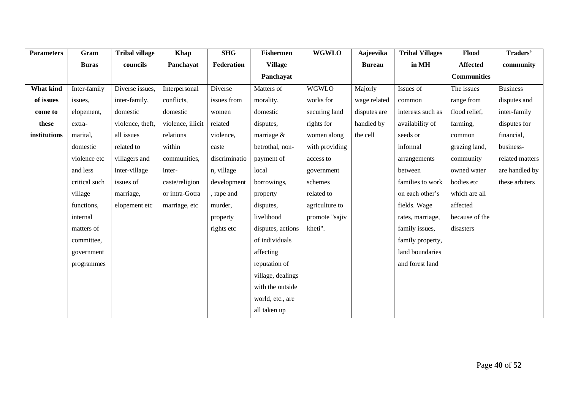| <b>Parameters</b> | Gram          | <b>Tribal village</b> | <b>Khap</b>       | <b>SHG</b>    | <b>Fishermen</b>  | <b>WGWLO</b>   | Aajeevika     | <b>Tribal Villages</b> | Flood              | Traders'        |
|-------------------|---------------|-----------------------|-------------------|---------------|-------------------|----------------|---------------|------------------------|--------------------|-----------------|
|                   | <b>Buras</b>  | councils              | Panchayat         | Federation    | <b>Village</b>    |                | <b>Bureau</b> | in MH                  | <b>Affected</b>    | community       |
|                   |               |                       |                   |               | Panchayat         |                |               |                        | <b>Communities</b> |                 |
| <b>What kind</b>  | Inter-family  | Diverse issues,       | Interpersonal     | Diverse       | Matters of        | <b>WGWLO</b>   | Majorly       | Issues of              | The issues         | <b>Business</b> |
| of issues         | issues,       | inter-family,         | conflicts,        | issues from   | morality,         | works for      | wage related  | common                 | range from         | disputes and    |
| come to           | elopement,    | domestic              | domestic          | women         | domestic          | securing land  | disputes are  | interests such as      | flood relief,      | inter-family    |
| these             | extra-        | violence, theft,      | violence, illicit | related       | disputes,         | rights for     | handled by    | availability of        | farming,           | disputes for    |
| institutions      | marital,      | all issues            | relations         | violence,     | marriage &        | women along    | the cell      | seeds or               | common             | financial,      |
|                   | domestic      | related to            | within            | caste         | betrothal, non-   | with providing |               | informal               | grazing land,      | business-       |
|                   | violence etc  | villagers and         | communities,      | discriminatio | payment of        | access to      |               | arrangements           | community          | related matters |
|                   | and less      | inter-village         | inter-            | n, village    | local             | government     |               | between                | owned water        | are handled by  |
|                   | critical such | issues of             | caste/religion    | development   | borrowings,       | schemes        |               | families to work       | bodies etc         | these arbiters  |
|                   | village       | marriage,             | or intra-Gotra    | , rape and    | property          | related to     |               | on each other's        | which are all      |                 |
|                   | functions,    | elopement etc         | marriage, etc     | murder,       | disputes,         | agriculture to |               | fields. Wage           | affected           |                 |
|                   | internal      |                       |                   | property      | livelihood        | promote "sajiv |               | rates, marriage,       | because of the     |                 |
|                   | matters of    |                       |                   | rights etc    | disputes, actions | kheti".        |               | family issues,         | disasters          |                 |
|                   | committee,    |                       |                   |               | of individuals    |                |               | family property,       |                    |                 |
|                   | government    |                       |                   |               | affecting         |                |               | land boundaries        |                    |                 |
|                   | programmes    |                       |                   |               | reputation of     |                |               | and forest land        |                    |                 |
|                   |               |                       |                   |               | village, dealings |                |               |                        |                    |                 |
|                   |               |                       |                   |               | with the outside  |                |               |                        |                    |                 |
|                   |               |                       |                   |               | world, etc., are  |                |               |                        |                    |                 |
|                   |               |                       |                   |               | all taken up      |                |               |                        |                    |                 |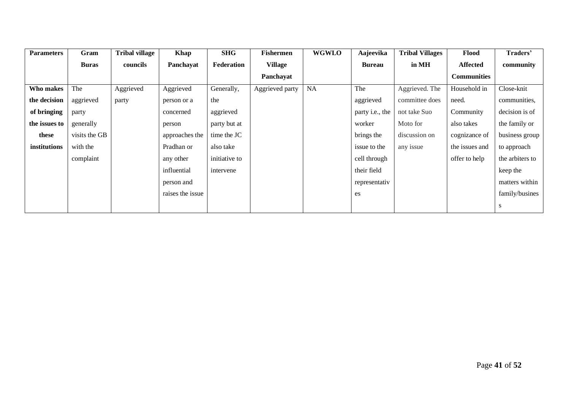| <b>Parameters</b> | Gram          | Tribal village | Khap             | <b>SHG</b>    | <b>Fishermen</b> | <b>WGWLO</b> | Aajeevika       | <b>Tribal Villages</b> | Flood              | Traders'        |
|-------------------|---------------|----------------|------------------|---------------|------------------|--------------|-----------------|------------------------|--------------------|-----------------|
|                   | <b>Buras</b>  | councils       | Panchayat        | Federation    | <b>Village</b>   |              | <b>Bureau</b>   | in MH                  | Affected           | community       |
|                   |               |                |                  |               | Panchayat        |              |                 |                        | <b>Communities</b> |                 |
| Who makes         | The           | Aggrieved      | Aggrieved        | Generally,    | Aggrieved party  | <b>NA</b>    | The             | Aggrieved. The         | Household in       | Close-knit      |
| the decision      | aggrieved     | party          | person or a      | the           |                  |              | aggrieved       | committee does         | need.              | communities,    |
| of bringing       | party         |                | concerned        | aggrieved     |                  |              | party i.e., the | not take Suo           | Community          | decision is of  |
| the issues to     | generally     |                | person           | party but at  |                  |              | worker          | Moto for               | also takes         | the family or   |
| these             | visits the GB |                | approaches the   | time the JC   |                  |              | brings the      | discussion on          | cognizance of      | business group  |
| institutions      | with the      |                | Pradhan or       | also take     |                  |              | issue to the    | any issue              | the issues and     | to approach     |
|                   | complaint     |                | any other        | initiative to |                  |              | cell through    |                        | offer to help      | the arbiters to |
|                   |               |                | influential      | intervene     |                  |              | their field     |                        |                    | keep the        |
|                   |               |                | person and       |               |                  |              | representativ   |                        |                    | matters within  |
|                   |               |                | raises the issue |               |                  |              | es              |                        |                    | family/busines  |
|                   |               |                |                  |               |                  |              |                 |                        |                    | <sup>S</sup>    |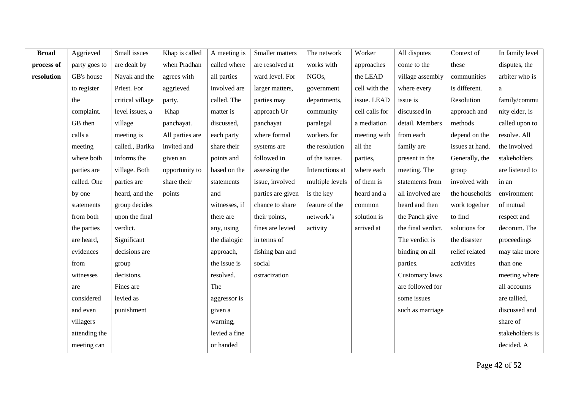| <b>Broad</b> | Aggrieved     | Small issues     | Khap is called  | A meeting is  | Smaller matters   | The network        | Worker         | All disputes       | Context of      | In family level |
|--------------|---------------|------------------|-----------------|---------------|-------------------|--------------------|----------------|--------------------|-----------------|-----------------|
| process of   | party goes to | are dealt by     | when Pradhan    | called where  | are resolved at   | works with         | approaches     | come to the        | these           | disputes, the   |
| resolution   | GB's house    | Nayak and the    | agrees with     | all parties   | ward level. For   | NGO <sub>s</sub> , | the LEAD       | village assembly   | communities     | arbiter who is  |
|              | to register   | Priest. For      | aggrieved       | involved are  | larger matters,   | government         | cell with the  | where every        | is different.   | a               |
|              | the           | critical village | party.          | called. The   | parties may       | departments,       | issue. LEAD    | issue is           | Resolution      | family/commu    |
|              | complaint.    | level issues, a  | Khap            | matter is     | approach Ur       | community          | cell calls for | discussed in       | approach and    | nity elder, is  |
|              | GB then       | village          | panchayat.      | discussed,    | panchayat         | paralegal          | a mediation    | detail. Members    | methods         | called upon to  |
|              | calls a       | meeting is       | All parties are | each party    | where formal      | workers for        | meeting with   | from each          | depend on the   | resolve. All    |
|              | meeting       | called., Barika  | invited and     | share their   | systems are       | the resolution     | all the        | family are         | issues at hand. | the involved    |
|              | where both    | informs the      | given an        | points and    | followed in       | of the issues.     | parties,       | present in the     | Generally, the  | stakeholders    |
|              | parties are   | village. Both    | opportunity to  | based on the  | assessing the     | Interactions at    | where each     | meeting. The       | group           | are listened to |
|              | called. One   | parties are      | share their     | statements    | issue, involved   | multiple levels    | of them is     | statements from    | involved with   | in an           |
|              | by one        | heard, and the   | points          | and           | parties are given | is the key         | heard and a    | all involved are   | the households  | environment     |
|              | statements    | group decides    |                 | witnesses, if | chance to share   | feature of the     | common         | heard and then     | work together   | of mutual       |
|              | from both     | upon the final   |                 | there are     | their points,     | network's          | solution is    | the Panch give     | to find         | respect and     |
|              | the parties   | verdict.         |                 | any, using    | fines are levied  | activity           | arrived at     | the final verdict. | solutions for   | decorum. The    |
|              | are heard,    | Significant      |                 | the dialogic  | in terms of       |                    |                | The verdict is     | the disaster    | proceedings     |
|              | evidences     | decisions are    |                 | approach,     | fishing ban and   |                    |                | binding on all     | relief related  | may take more   |
|              | from          | group            |                 | the issue is  | social            |                    |                | parties.           | activities      | than one        |
|              | witnesses     | decisions.       |                 | resolved.     | ostracization     |                    |                | Customary laws     |                 | meeting where   |
|              | are           | Fines are        |                 | The           |                   |                    |                | are followed for   |                 | all accounts    |
|              | considered    | levied as        |                 | aggressor is  |                   |                    |                | some issues        |                 | are tallied,    |
|              | and even      | punishment       |                 | given a       |                   |                    |                | such as marriage   |                 | discussed and   |
|              | villagers     |                  |                 | warning,      |                   |                    |                |                    |                 | share of        |
|              | attending the |                  |                 | levied a fine |                   |                    |                |                    |                 | stakeholders is |
|              | meeting can   |                  |                 | or handed     |                   |                    |                |                    |                 | decided. A      |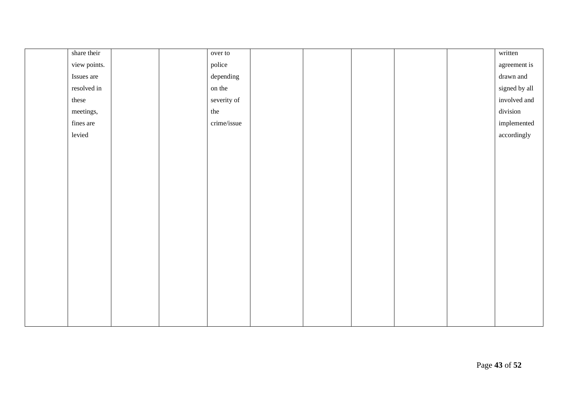| share their  |  | over to     |  |  | written       |
|--------------|--|-------------|--|--|---------------|
| view points. |  | police      |  |  | agreement is  |
| Issues are   |  | depending   |  |  | drawn and     |
| resolved in  |  | on the      |  |  | signed by all |
| these        |  | severity of |  |  | involved and  |
| meetings,    |  | the         |  |  | division      |
| fines are    |  | crime/issue |  |  | implemented   |
| levied       |  |             |  |  | accordingly   |
|              |  |             |  |  |               |
|              |  |             |  |  |               |
|              |  |             |  |  |               |
|              |  |             |  |  |               |
|              |  |             |  |  |               |
|              |  |             |  |  |               |
|              |  |             |  |  |               |
|              |  |             |  |  |               |
|              |  |             |  |  |               |
|              |  |             |  |  |               |
|              |  |             |  |  |               |
|              |  |             |  |  |               |
|              |  |             |  |  |               |
|              |  |             |  |  |               |
|              |  |             |  |  |               |
|              |  |             |  |  |               |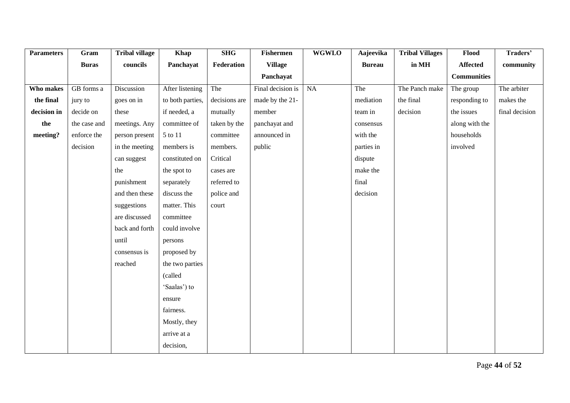| <b>Parameters</b> | Gram         | <b>Tribal village</b> | <b>Khap</b>      | <b>SHG</b>    | <b>Fishermen</b>  | <b>WGWLO</b> | Aajeevika     | <b>Tribal Villages</b> | Flood              | Traders'       |
|-------------------|--------------|-----------------------|------------------|---------------|-------------------|--------------|---------------|------------------------|--------------------|----------------|
|                   | <b>Buras</b> | councils              | Panchayat        | Federation    | <b>Village</b>    |              | <b>Bureau</b> | in MH                  | Affected           | community      |
|                   |              |                       |                  |               | Panchayat         |              |               |                        | <b>Communities</b> |                |
| Who makes         | GB forms a   | Discussion            | After listening  | The           | Final decision is | NA           | The           | The Panch make         | The group          | The arbiter    |
| the final         | jury to      | goes on in            | to both parties, | decisions are | made by the 21-   |              | mediation     | the final              | responding to      | makes the      |
| decision in       | decide on    | these                 | if needed, a     | mutually      | member            |              | team in       | decision               | the issues         | final decision |
| the               | the case and | meetings. Any         | committee of     | taken by the  | panchayat and     |              | consensus     |                        | along with the     |                |
| meeting?          | enforce the  | person present        | 5 to 11          | committee     | announced in      |              | with the      |                        | households         |                |
|                   | decision     | in the meeting        | members is       | members.      | public            |              | parties in    |                        | involved           |                |
|                   |              | can suggest           | constituted on   | Critical      |                   |              | dispute       |                        |                    |                |
|                   |              | the                   | the spot to      | cases are     |                   |              | make the      |                        |                    |                |
|                   |              | punishment            | separately       | referred to   |                   |              | final         |                        |                    |                |
|                   |              | and then these        | discuss the      | police and    |                   |              | decision      |                        |                    |                |
|                   |              | suggestions           | matter. This     | court         |                   |              |               |                        |                    |                |
|                   |              | are discussed         | committee        |               |                   |              |               |                        |                    |                |
|                   |              | back and forth        | could involve    |               |                   |              |               |                        |                    |                |
|                   |              | until                 | persons          |               |                   |              |               |                        |                    |                |
|                   |              | consensus is          | proposed by      |               |                   |              |               |                        |                    |                |
|                   |              | reached               | the two parties  |               |                   |              |               |                        |                    |                |
|                   |              |                       | (called          |               |                   |              |               |                        |                    |                |
|                   |              |                       | 'Saalas') to     |               |                   |              |               |                        |                    |                |
|                   |              |                       | ensure           |               |                   |              |               |                        |                    |                |
|                   |              |                       | fairness.        |               |                   |              |               |                        |                    |                |
|                   |              |                       | Mostly, they     |               |                   |              |               |                        |                    |                |
|                   |              |                       | arrive at a      |               |                   |              |               |                        |                    |                |
|                   |              |                       | decision,        |               |                   |              |               |                        |                    |                |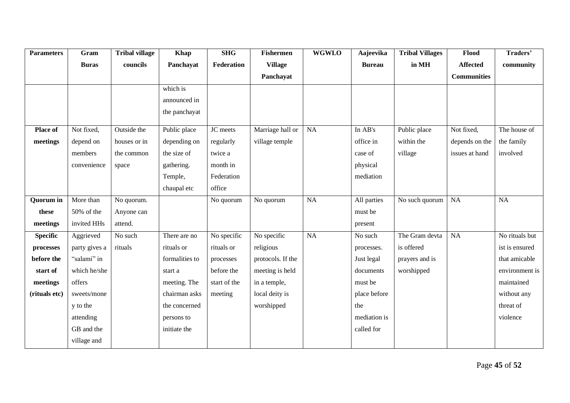| <b>Parameters</b> | Gram          | <b>Tribal village</b> | <b>Khap</b>    | <b>SHG</b>   | <b>Fishermen</b>  | <b>WGWLO</b> | Aajeevika     | <b>Tribal Villages</b> | Flood              | Traders'       |
|-------------------|---------------|-----------------------|----------------|--------------|-------------------|--------------|---------------|------------------------|--------------------|----------------|
|                   | <b>Buras</b>  | councils              | Panchayat      | Federation   | <b>Village</b>    |              | <b>Bureau</b> | in MH                  | <b>Affected</b>    | community      |
|                   |               |                       |                |              | Panchayat         |              |               |                        | <b>Communities</b> |                |
|                   |               |                       | which is       |              |                   |              |               |                        |                    |                |
|                   |               |                       | announced in   |              |                   |              |               |                        |                    |                |
|                   |               |                       | the panchayat  |              |                   |              |               |                        |                    |                |
| Place of          | Not fixed,    | Outside the           | Public place   | JC meets     | Marriage hall or  | <b>NA</b>    | In AB's       | Public place           | Not fixed,         | The house of   |
| meetings          | depend on     | houses or in          | depending on   | regularly    | village temple    |              | office in     | within the             | depends on the     | the family     |
|                   | members       | the common            | the size of    | twice a      |                   |              | case of       | village                | issues at hand     | involved       |
|                   | convenience   | space                 | gathering.     | month in     |                   |              | physical      |                        |                    |                |
|                   |               |                       | Temple,        | Federation   |                   |              | mediation     |                        |                    |                |
|                   |               |                       | chaupal etc    | office       |                   |              |               |                        |                    |                |
| <b>Quorum</b> in  | More than     | No quorum.            |                | No quorum    | No quorum         | <b>NA</b>    | All parties   | No such quorum         | <b>NA</b>          | NA             |
| these             | 50% of the    | Anyone can            |                |              |                   |              | must be       |                        |                    |                |
| meetings          | invited HHs   | attend.               |                |              |                   |              | present       |                        |                    |                |
| <b>Specific</b>   | Aggrieved     | No such               | There are no   | No specific  | No specific       | NA           | No such       | The Gram devta         | NA                 | No rituals but |
| processes         | party gives a | rituals               | rituals or     | rituals or   | religious         |              | processes.    | is offered             |                    | ist is ensured |
| before the        | "salami" in   |                       | formalities to | processes    | protocols. If the |              | Just legal    | prayers and is         |                    | that amicable  |
| start of          | which he/she  |                       | start a        | before the   | meeting is held   |              | documents     | worshipped             |                    | environment is |
| meetings          | offers        |                       | meeting. The   | start of the | in a temple,      |              | must be       |                        |                    | maintained     |
| (rituals etc)     | sweets/mone   |                       | chairman asks  | meeting      | local deity is    |              | place before  |                        |                    | without any    |
|                   | y to the      |                       | the concerned  |              | worshipped        |              | the           |                        |                    | threat of      |
|                   | attending     |                       | persons to     |              |                   |              | mediation is  |                        |                    | violence       |
|                   | GB and the    |                       | initiate the   |              |                   |              | called for    |                        |                    |                |
|                   | village and   |                       |                |              |                   |              |               |                        |                    |                |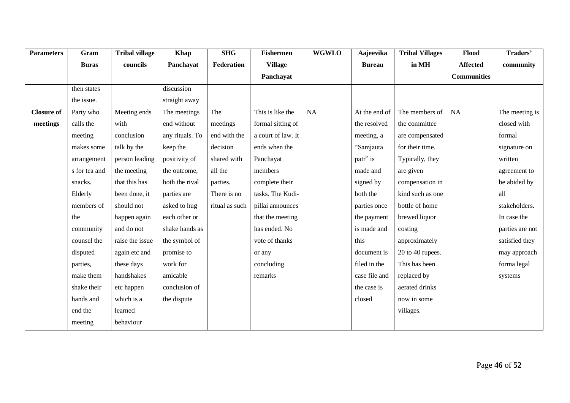| <b>Parameters</b> | Gram          | <b>Tribal village</b> | <b>Khap</b>     | <b>SHG</b>     | <b>Fishermen</b>   | <b>WGWLO</b> | Aajeevika     | <b>Tribal Villages</b> | Flood              | Traders'        |
|-------------------|---------------|-----------------------|-----------------|----------------|--------------------|--------------|---------------|------------------------|--------------------|-----------------|
|                   | <b>Buras</b>  | councils              | Panchayat       | Federation     | <b>Village</b>     |              | <b>Bureau</b> | in MH                  | <b>Affected</b>    | community       |
|                   |               |                       |                 |                | Panchayat          |              |               |                        | <b>Communities</b> |                 |
|                   | then states   |                       | discussion      |                |                    |              |               |                        |                    |                 |
|                   | the issue.    |                       | straight away   |                |                    |              |               |                        |                    |                 |
| Closure of        | Party who     | Meeting ends          | The meetings    | The            | This is like the   | NA           | At the end of | The members of         | NA                 | The meeting is  |
| meetings          | calls the     | with                  | end without     | meetings       | formal sitting of  |              | the resolved  | the committee          |                    | closed with     |
|                   | meeting       | conclusion            | any rituals. To | end with the   | a court of law. It |              | meeting, a    | are compensated        |                    | formal          |
|                   | makes some    | talk by the           | keep the        | decision       | ends when the      |              | "Samjauta     | for their time.        |                    | signature on    |
|                   | arrangement   | person leading        | positivity of   | shared with    | Panchayat          |              | patr" is      | Typically, they        |                    | written         |
|                   | s for tea and | the meeting           | the outcome,    | all the        | members            |              | made and      | are given              |                    | agreement to    |
|                   | snacks.       | that this has         | both the rival  | parties.       | complete their     |              | signed by     | compensation in        |                    | be abided by    |
|                   | Elderly       | been done, it         | parties are     | There is no    | tasks. The Kudi-   |              | both the      | kind such as one       |                    | all             |
|                   | members of    | should not            | asked to hug    | ritual as such | pillai announces   |              | parties once  | bottle of home         |                    | stakeholders.   |
|                   | the           | happen again          | each other or   |                | that the meeting   |              | the payment   | brewed liquor          |                    | In case the     |
|                   | community     | and do not            | shake hands as  |                | has ended. No      |              | is made and   | costing                |                    | parties are not |
|                   | counsel the   | raise the issue       | the symbol of   |                | vote of thanks     |              | this          | approximately          |                    | satisfied they  |
|                   | disputed      | again etc and         | promise to      |                | or any             |              | document is   | 20 to 40 rupees.       |                    | may approach    |
|                   | parties,      | these days            | work for        |                | concluding         |              | filed in the  | This has been          |                    | forma legal     |
|                   | make them     | handshakes            | amicable        |                | remarks            |              | case file and | replaced by            |                    | systems         |
|                   | shake their   | etc happen            | conclusion of   |                |                    |              | the case is   | aerated drinks         |                    |                 |
|                   | hands and     | which is a            | the dispute     |                |                    |              | closed        | now in some            |                    |                 |
|                   | end the       | learned               |                 |                |                    |              |               | villages.              |                    |                 |
|                   | meeting       | behaviour             |                 |                |                    |              |               |                        |                    |                 |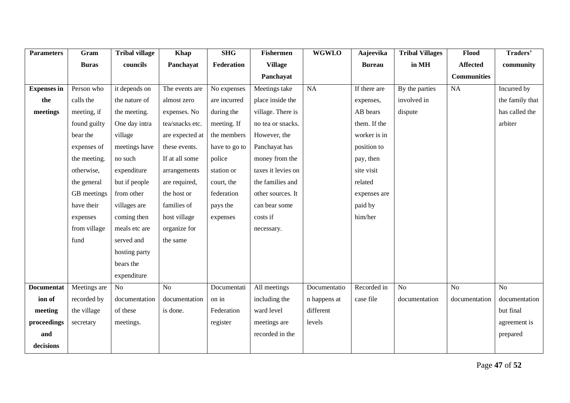| <b>Parameters</b>  | Gram         | <b>Tribal village</b> | <b>Khap</b>     | <b>SHG</b>    | <b>Fishermen</b>   | <b>WGWLO</b> | Aajeevika     | <b>Tribal Villages</b> | Flood              | Traders'        |
|--------------------|--------------|-----------------------|-----------------|---------------|--------------------|--------------|---------------|------------------------|--------------------|-----------------|
|                    | <b>Buras</b> | councils              | Panchayat       | Federation    | <b>Village</b>     |              | <b>Bureau</b> | in MH                  | <b>Affected</b>    | community       |
|                    |              |                       |                 |               | Panchayat          |              |               |                        | <b>Communities</b> |                 |
| <b>Expenses</b> in | Person who   | it depends on         | The events are  | No expenses   | Meetings take      | NA           | If there are  | By the parties         | NA                 | Incurred by     |
| the                | calls the    | the nature of         | almost zero     | are incurred  | place inside the   |              | expenses,     | involved in            |                    | the family that |
| meetings           | meeting, if  | the meeting.          | expenses. No    | during the    | village. There is  |              | AB bears      | dispute                |                    | has called the  |
|                    | found guilty | One day intra         | tea/snacks etc. | meeting. If   | no tea or snacks.  |              | them. If the  |                        |                    | arbiter         |
|                    | bear the     | village               | are expected at | the members   | However, the       |              | worker is in  |                        |                    |                 |
|                    | expenses of  | meetings have         | these events.   | have to go to | Panchayat has      |              | position to   |                        |                    |                 |
|                    | the meeting. | no such               | If at all some  | police        | money from the     |              | pay, then     |                        |                    |                 |
|                    | otherwise,   | expenditure           | arrangements    | station or    | taxes it levies on |              | site visit    |                        |                    |                 |
|                    | the general  | but if people         | are required,   | court, the    | the families and   |              | related       |                        |                    |                 |
|                    | GB meetings  | from other            | the host or     | federation    | other sources. It  |              | expenses are  |                        |                    |                 |
|                    | have their   | villages are          | families of     | pays the      | can bear some      |              | paid by       |                        |                    |                 |
|                    | expenses     | coming then           | host village    | expenses      | costs if           |              | him/her       |                        |                    |                 |
|                    | from village | meals etc are         | organize for    |               | necessary.         |              |               |                        |                    |                 |
|                    | fund         | served and            | the same        |               |                    |              |               |                        |                    |                 |
|                    |              | hosting party         |                 |               |                    |              |               |                        |                    |                 |
|                    |              | bears the             |                 |               |                    |              |               |                        |                    |                 |
|                    |              | expenditure           |                 |               |                    |              |               |                        |                    |                 |
| <b>Documentat</b>  | Meetings are | N <sub>o</sub>        | No              | Documentati   | All meetings       | Documentatio | Recorded in   | N <sub>o</sub>         | N <sub>o</sub>     | $\overline{No}$ |
| ion of             | recorded by  | documentation         | documentation   | on in         | including the      | n happens at | case file     | documentation          | documentation      | documentation   |
| meeting            | the village  | of these              | is done.        | Federation    | ward level         | different    |               |                        |                    | but final       |
| proceedings        | secretary    | meetings.             |                 | register      | meetings are       | levels       |               |                        |                    | agreement is    |
| and                |              |                       |                 |               | recorded in the    |              |               |                        |                    | prepared        |
| decisions          |              |                       |                 |               |                    |              |               |                        |                    |                 |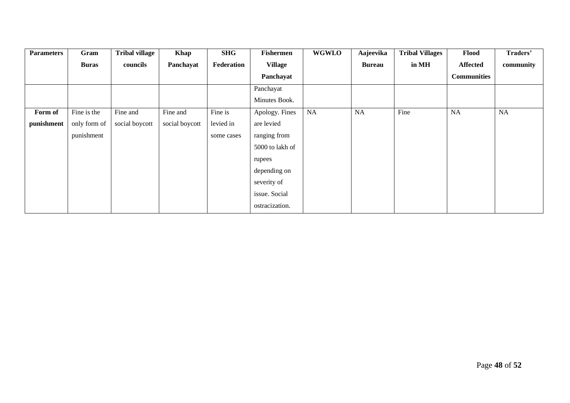| <b>Parameters</b> | Gram         | <b>Tribal village</b> | Khap           | <b>SHG</b> | <b>Fishermen</b> | <b>WGWLO</b> | Aajeevika     | <b>Tribal Villages</b> | Flood              | Traders'  |
|-------------------|--------------|-----------------------|----------------|------------|------------------|--------------|---------------|------------------------|--------------------|-----------|
|                   | <b>Buras</b> | councils              | Panchayat      | Federation | <b>Village</b>   |              | <b>Bureau</b> | in MH                  | Affected           | community |
|                   |              |                       |                |            | Panchayat        |              |               |                        | <b>Communities</b> |           |
|                   |              |                       |                |            | Panchayat        |              |               |                        |                    |           |
|                   |              |                       |                |            | Minutes Book.    |              |               |                        |                    |           |
| Form of           | Fine is the  | Fine and              | Fine and       | Fine is    | Apology. Fines   | <b>NA</b>    | NA            | Fine                   | NA                 | NA        |
| punishment        | only form of | social boycott        | social boycott | levied in  | are levied       |              |               |                        |                    |           |
|                   | punishment   |                       |                | some cases | ranging from     |              |               |                        |                    |           |
|                   |              |                       |                |            | 5000 to lakh of  |              |               |                        |                    |           |
|                   |              |                       |                |            | rupees           |              |               |                        |                    |           |
|                   |              |                       |                |            | depending on     |              |               |                        |                    |           |
|                   |              |                       |                |            | severity of      |              |               |                        |                    |           |
|                   |              |                       |                |            | issue. Social    |              |               |                        |                    |           |
|                   |              |                       |                |            | ostracization.   |              |               |                        |                    |           |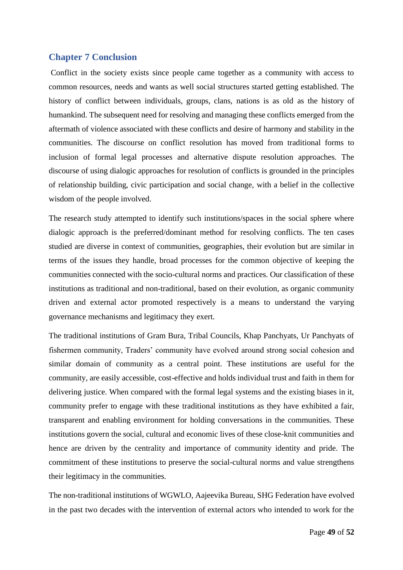#### <span id="page-49-0"></span>**Chapter 7 Conclusion**

Conflict in the society exists since people came together as a community with access to common resources, needs and wants as well social structures started getting established. The history of conflict between individuals, groups, clans, nations is as old as the history of humankind. The subsequent need for resolving and managing these conflicts emerged from the aftermath of violence associated with these conflicts and desire of harmony and stability in the communities. The discourse on conflict resolution has moved from traditional forms to inclusion of formal legal processes and alternative dispute resolution approaches. The discourse of using dialogic approaches for resolution of conflicts is grounded in the principles of relationship building, civic participation and social change, with a belief in the collective wisdom of the people involved.

The research study attempted to identify such institutions/spaces in the social sphere where dialogic approach is the preferred/dominant method for resolving conflicts. The ten cases studied are diverse in context of communities, geographies, their evolution but are similar in terms of the issues they handle, broad processes for the common objective of keeping the communities connected with the socio-cultural norms and practices. Our classification of these institutions as traditional and non-traditional, based on their evolution, as organic community driven and external actor promoted respectively is a means to understand the varying governance mechanisms and legitimacy they exert.

The traditional institutions of Gram Bura, Tribal Councils, Khap Panchyats, Ur Panchyats of fishermen community, Traders' community have evolved around strong social cohesion and similar domain of community as a central point. These institutions are useful for the community, are easily accessible, cost-effective and holds individual trust and faith in them for delivering justice. When compared with the formal legal systems and the existing biases in it, community prefer to engage with these traditional institutions as they have exhibited a fair, transparent and enabling environment for holding conversations in the communities. These institutions govern the social, cultural and economic lives of these close-knit communities and hence are driven by the centrality and importance of community identity and pride. The commitment of these institutions to preserve the social-cultural norms and value strengthens their legitimacy in the communities.

The non-traditional institutions of WGWLO, Aajeevika Bureau, SHG Federation have evolved in the past two decades with the intervention of external actors who intended to work for the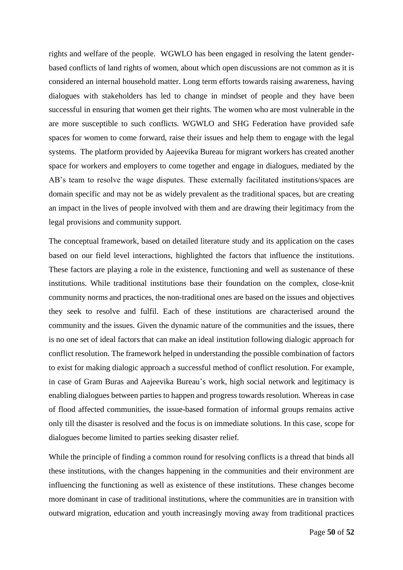rights and welfare of the people. WGWLO has been engaged in resolving the latent genderbased conflicts of land rights of women, about which open discussions are not common as it is considered an internal household matter. Long term efforts towards raising awareness, having dialogues with stakeholders has led to change in mindset of people and they have been successful in ensuring that women get their rights. The women who are most vulnerable in the are more susceptible to such conflicts. WGWLO and SHG Federation have provided safe spaces for women to come forward, raise their issues and help them to engage with the legal systems. The platform provided by Aajeevika Bureau for migrant workers has created another space for workers and employers to come together and engage in dialogues, mediated by the AB's team to resolve the wage disputes. These externally facilitated institutions/spaces are domain specific and may not be as widely prevalent as the traditional spaces, but are creating an impact in the lives of people involved with them and are drawing their legitimacy from the legal provisions and community support.

The conceptual framework, based on detailed literature study and its application on the cases based on our field level interactions, highlighted the factors that influence the institutions. These factors are playing a role in the existence, functioning and well as sustenance of these institutions. While traditional institutions base their foundation on the complex, close-knit community norms and practices, the non-traditional ones are based on the issues and objectives they seek to resolve and fulfil. Each of these institutions are characterised around the community and the issues. Given the dynamic nature of the communities and the issues, there is no one set of ideal factors that can make an ideal institution following dialogic approach for conflict resolution. The framework helped in understanding the possible combination of factors to exist for making dialogic approach a successful method of conflict resolution. For example, in case of Gram Buras and Aajeevika Bureau's work, high social network and legitimacy is enabling dialogues between parties to happen and progress towards resolution. Whereas in case of flood affected communities, the issue-based formation of informal groups remains active only till the disaster is resolved and the focus is on immediate solutions. In this case, scope for dialogues become limited to parties seeking disaster relief.

While the principle of finding a common round for resolving conflicts is a thread that binds all these institutions, with the changes happening in the communities and their environment are influencing the functioning as well as existence of these institutions. These changes become more dominant in case of traditional institutions, where the communities are in transition with outward migration, education and youth increasingly moving away from traditional practices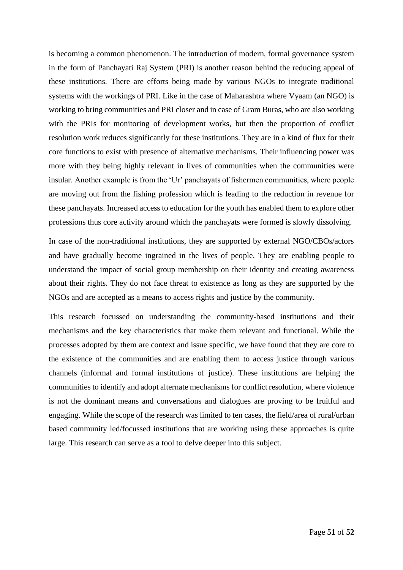is becoming a common phenomenon. The introduction of modern, formal governance system in the form of Panchayati Raj System (PRI) is another reason behind the reducing appeal of these institutions. There are efforts being made by various NGOs to integrate traditional systems with the workings of PRI. Like in the case of Maharashtra where Vyaam (an NGO) is working to bring communities and PRI closer and in case of Gram Buras, who are also working with the PRIs for monitoring of development works, but then the proportion of conflict resolution work reduces significantly for these institutions. They are in a kind of flux for their core functions to exist with presence of alternative mechanisms. Their influencing power was more with they being highly relevant in lives of communities when the communities were insular. Another example is from the 'Ur' panchayats of fishermen communities, where people are moving out from the fishing profession which is leading to the reduction in revenue for these panchayats. Increased access to education for the youth has enabled them to explore other professions thus core activity around which the panchayats were formed is slowly dissolving.

In case of the non-traditional institutions, they are supported by external NGO/CBOs/actors and have gradually become ingrained in the lives of people. They are enabling people to understand the impact of social group membership on their identity and creating awareness about their rights. They do not face threat to existence as long as they are supported by the NGOs and are accepted as a means to access rights and justice by the community.

This research focussed on understanding the community-based institutions and their mechanisms and the key characteristics that make them relevant and functional. While the processes adopted by them are context and issue specific, we have found that they are core to the existence of the communities and are enabling them to access justice through various channels (informal and formal institutions of justice). These institutions are helping the communities to identify and adopt alternate mechanisms for conflict resolution, where violence is not the dominant means and conversations and dialogues are proving to be fruitful and engaging. While the scope of the research was limited to ten cases, the field/area of rural/urban based community led/focussed institutions that are working using these approaches is quite large. This research can serve as a tool to delve deeper into this subject.